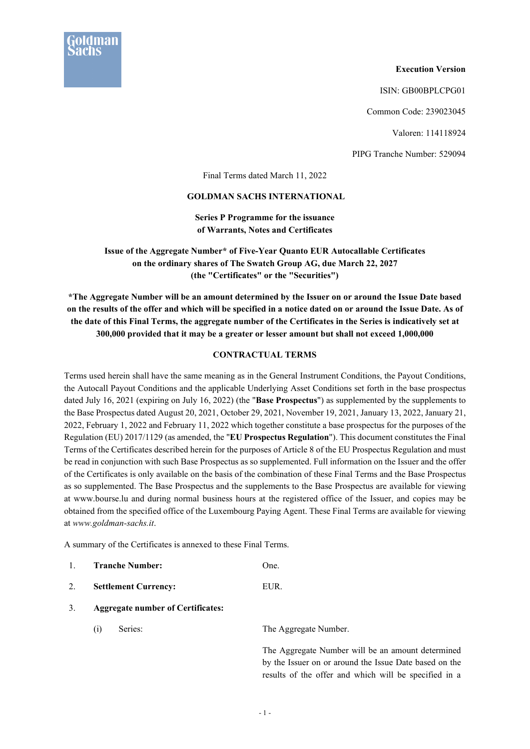

**Execution Version** 

ISIN: GB00BPLCPG01

Common Code: 239023045

Valoren: 114118924

PIPG Tranche Number: 529094

Final Terms dated March 11, 2022

## **GOLDMAN SACHS INTERNATIONAL**

**Series P Programme for the issuance of Warrants, Notes and Certificates** 

**Issue of the Aggregate Number\* of Five-Year Quanto EUR Autocallable Certificates on the ordinary shares of The Swatch Group AG, due March 22, 2027 (the "Certificates" or the "Securities")** 

**\*The Aggregate Number will be an amount determined by the Issuer on or around the Issue Date based on the results of the offer and which will be specified in a notice dated on or around the Issue Date. As of the date of this Final Terms, the aggregate number of the Certificates in the Series is indicatively set at 300,000 provided that it may be a greater or lesser amount but shall not exceed 1,000,000**

## **CONTRACTUAL TERMS**

Terms used herein shall have the same meaning as in the General Instrument Conditions, the Payout Conditions, the Autocall Payout Conditions and the applicable Underlying Asset Conditions set forth in the base prospectus dated July 16, 2021 (expiring on July 16, 2022) (the "**Base Prospectus**") as supplemented by the supplements to the Base Prospectus dated August 20, 2021, October 29, 2021, November 19, 2021, January 13, 2022, January 21, 2022, February 1, 2022 and February 11, 2022 which together constitute a base prospectus for the purposes of the Regulation (EU) 2017/1129 (as amended, the "**EU Prospectus Regulation**"). This document constitutes the Final Terms of the Certificates described herein for the purposes of Article 8 of the EU Prospectus Regulation and must be read in conjunction with such Base Prospectus as so supplemented. Full information on the Issuer and the offer of the Certificates is only available on the basis of the combination of these Final Terms and the Base Prospectus as so supplemented. The Base Prospectus and the supplements to the Base Prospectus are available for viewing at www.bourse.lu and during normal business hours at the registered office of the Issuer, and copies may be obtained from the specified office of the Luxembourg Paying Agent. These Final Terms are available for viewing at *www.goldman-sachs.it*.

A summary of the Certificates is annexed to these Final Terms.

- 1. **Tranche Number:** One.
- 2. **Settlement Currency:** EUR.
- 3. **Aggregate number of Certificates:** 
	- (i) Series: The Aggregate Number.

The Aggregate Number will be an amount determined by the Issuer on or around the Issue Date based on the results of the offer and which will be specified in a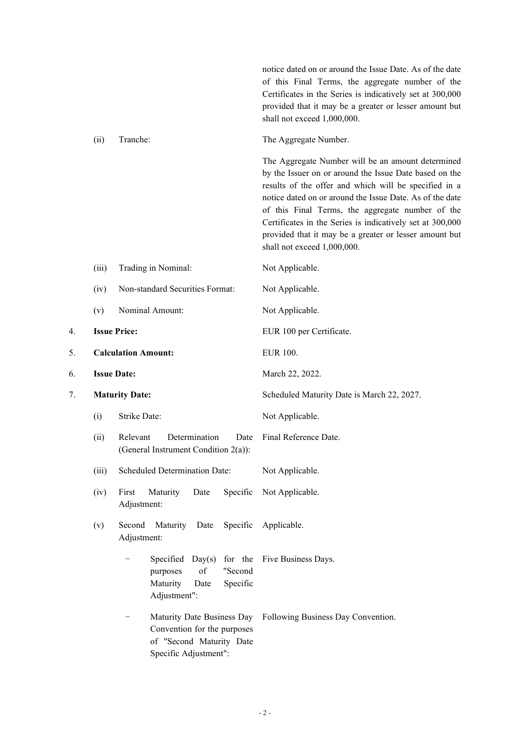notice dated on or around the Issue Date. As of the date of this Final Terms, the aggregate number of the Certificates in the Series is indicatively set at 300,000 provided that it may be a greater or lesser amount but shall not exceed 1,000,000.

(ii) Tranche: The Aggregate Number.

The Aggregate Number will be an amount determined by the Issuer on or around the Issue Date based on the results of the offer and which will be specified in a notice dated on or around the Issue Date. As of the date of this Final Terms, the aggregate number of the Certificates in the Series is indicatively set at 300,000 provided that it may be a greater or lesser amount but shall not exceed 1,000,000.

|    | (iii)               | Trading in Nominal:                                                                                            | Not Applicable.                            |
|----|---------------------|----------------------------------------------------------------------------------------------------------------|--------------------------------------------|
|    | (iv)                | Non-standard Securities Format:                                                                                | Not Applicable.                            |
|    | (v)                 | Nominal Amount:                                                                                                | Not Applicable.                            |
| 4. |                     | <b>Issue Price:</b>                                                                                            | EUR 100 per Certificate.                   |
| 5. |                     | <b>Calculation Amount:</b>                                                                                     | <b>EUR 100.</b>                            |
| 6. |                     | <b>Issue Date:</b>                                                                                             | March 22, 2022.                            |
| 7. |                     | <b>Maturity Date:</b>                                                                                          | Scheduled Maturity Date is March 22, 2027. |
|    | Strike Date:<br>(i) |                                                                                                                | Not Applicable.                            |
|    | (ii)                | Determination<br>Relevant<br>Date<br>(General Instrument Condition 2(a)):                                      | Final Reference Date.                      |
|    | (iii)               | Scheduled Determination Date:                                                                                  | Not Applicable.                            |
|    | (iv)                | First<br>Maturity<br>Specific<br>Date<br>Adjustment:                                                           | Not Applicable.                            |
|    | (v)                 | Second<br>Maturity<br>Date<br>Specific<br>Adjustment:                                                          | Applicable.                                |
|    |                     | Specified Day(s)<br>for the<br>of<br>"Second<br>purposes<br>Maturity<br>Specific<br>Date<br>Adjustment":       | Five Business Days.                        |
|    |                     | Maturity Date Business Day<br>Convention for the purposes<br>of "Second Maturity Date<br>Specific Adjustment": | Following Business Day Convention.         |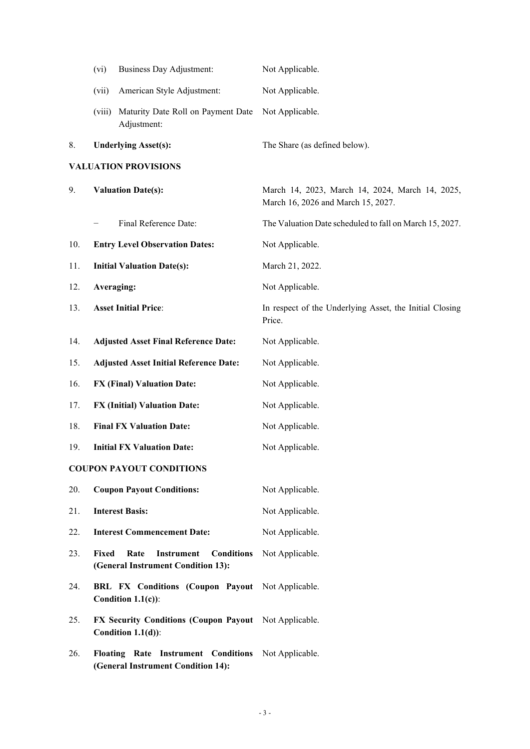|     | (vi)                        | <b>Business Day Adjustment:</b>                                                      | Not Applicable.                                                                       |
|-----|-----------------------------|--------------------------------------------------------------------------------------|---------------------------------------------------------------------------------------|
|     | (vii)                       | American Style Adjustment:                                                           | Not Applicable.                                                                       |
|     | (viii)                      | Maturity Date Roll on Payment Date<br>Adjustment:                                    | Not Applicable.                                                                       |
| 8.  | <b>Underlying Asset(s):</b> |                                                                                      | The Share (as defined below).                                                         |
|     |                             | <b>VALUATION PROVISIONS</b>                                                          |                                                                                       |
| 9.  |                             | <b>Valuation Date(s):</b>                                                            | March 14, 2023, March 14, 2024, March 14, 2025,<br>March 16, 2026 and March 15, 2027. |
|     |                             | Final Reference Date:                                                                | The Valuation Date scheduled to fall on March 15, 2027.                               |
| 10. |                             | <b>Entry Level Observation Dates:</b>                                                | Not Applicable.                                                                       |
| 11. |                             | <b>Initial Valuation Date(s):</b>                                                    | March 21, 2022.                                                                       |
| 12. |                             | Averaging:                                                                           | Not Applicable.                                                                       |
| 13. |                             | <b>Asset Initial Price:</b>                                                          | In respect of the Underlying Asset, the Initial Closing<br>Price.                     |
| 14. |                             | <b>Adjusted Asset Final Reference Date:</b>                                          | Not Applicable.                                                                       |
| 15. |                             | <b>Adjusted Asset Initial Reference Date:</b>                                        | Not Applicable.                                                                       |
| 16. |                             | <b>FX (Final) Valuation Date:</b>                                                    | Not Applicable.                                                                       |
| 17. |                             | <b>FX (Initial) Valuation Date:</b>                                                  | Not Applicable.                                                                       |
| 18. |                             | <b>Final FX Valuation Date:</b>                                                      | Not Applicable.                                                                       |
| 19. |                             | <b>Initial FX Valuation Date:</b>                                                    | Not Applicable.                                                                       |
|     |                             | <b>COUPON PAYOUT CONDITIONS</b>                                                      |                                                                                       |
| 20. |                             | <b>Coupon Payout Conditions:</b>                                                     | Not Applicable.                                                                       |
| 21. |                             | <b>Interest Basis:</b>                                                               | Not Applicable.                                                                       |
| 22. |                             | <b>Interest Commencement Date:</b>                                                   | Not Applicable.                                                                       |
| 23. | Fixed                       | Rate<br><b>Conditions</b><br><b>Instrument</b><br>(General Instrument Condition 13): | Not Applicable.                                                                       |
| 24. |                             | BRL FX Conditions (Coupon Payout Not Applicable.<br>Condition $1.1(c)$ :             |                                                                                       |
| 25. |                             | <b>FX Security Conditions (Coupon Payout</b><br>Condition $1.1(d)$ :                 | Not Applicable.                                                                       |
| 26. |                             | Floating Rate Instrument Conditions<br>(General Instrument Condition 14):            | Not Applicable.                                                                       |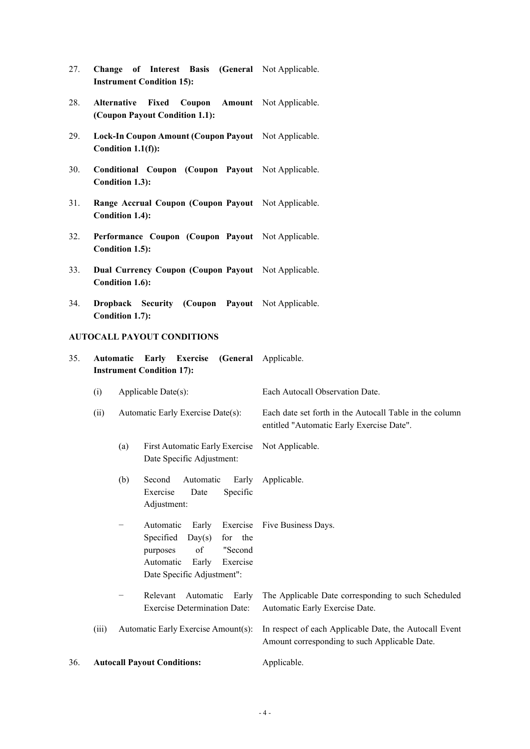- 27. **Change of Interest Basis (General**  Not Applicable. **Instrument Condition 15):**
- 28. **Alternative Fixed Coupon Amount**  Not Applicable. **(Coupon Payout Condition 1.1):**
- 29. **Lock-In Coupon Amount (Coupon Payout**  Not Applicable. **Condition 1.1(f)):**
- 30. **Conditional Coupon (Coupon Payout**  Not Applicable. **Condition 1.3):**
- 31. **Range Accrual Coupon (Coupon Payout**  Not Applicable. **Condition 1.4):**
- 32. **Performance Coupon (Coupon Payout**  Not Applicable. **Condition 1.5):**
- 33. **Dual Currency Coupon (Coupon Payout**  Not Applicable. **Condition 1.6):**
- 34. **Dropback Security (Coupon Payout**  Not Applicable. **Condition 1.7):**

# **AUTOCALL PAYOUT CONDITIONS**

35. **Automatic Early Exercise (General**  Applicable. **Instrument Condition 17):** 

|     | (i)                                                                                                                                                                                                   | Applicable Date(s):                                                                                                                                        | Each Autocall Observation Date.                                                                         |
|-----|-------------------------------------------------------------------------------------------------------------------------------------------------------------------------------------------------------|------------------------------------------------------------------------------------------------------------------------------------------------------------|---------------------------------------------------------------------------------------------------------|
|     | Automatic Early Exercise Date(s):<br>(ii)<br>First Automatic Early Exercise<br>(a)<br>Date Specific Adjustment:<br>(b)<br>Automatic<br>Second<br>Early<br>Exercise<br>Specific<br>Date<br>Adjustment: |                                                                                                                                                            | Each date set forth in the Autocall Table in the column<br>entitled "Automatic Early Exercise Date".    |
|     |                                                                                                                                                                                                       |                                                                                                                                                            | Not Applicable.                                                                                         |
|     |                                                                                                                                                                                                       |                                                                                                                                                            | Applicable.                                                                                             |
|     |                                                                                                                                                                                                       | Automatic<br>Early Exercise<br>Specified<br>for the<br>Day(s)<br>of<br>"Second<br>purposes<br>Automatic<br>Early<br>Exercise<br>Date Specific Adjustment": | Five Business Days.                                                                                     |
|     | Relevant<br>Automatic<br>Early<br>-<br><b>Exercise Determination Date:</b>                                                                                                                            |                                                                                                                                                            | The Applicable Date corresponding to such Scheduled<br>Automatic Early Exercise Date.                   |
|     | (iii)                                                                                                                                                                                                 | Automatic Early Exercise Amount(s):                                                                                                                        | In respect of each Applicable Date, the Autocall Event<br>Amount corresponding to such Applicable Date. |
| 36. | <b>Autocall Payout Conditions:</b>                                                                                                                                                                    |                                                                                                                                                            | Applicable.                                                                                             |
|     |                                                                                                                                                                                                       |                                                                                                                                                            |                                                                                                         |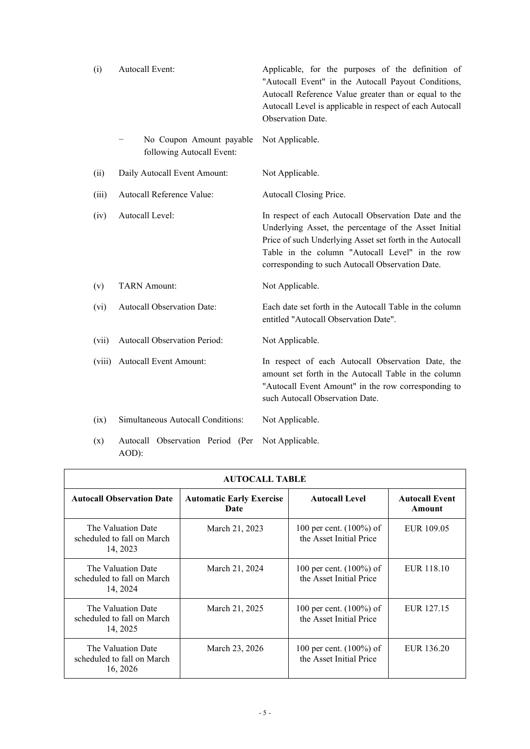| (i)    | <b>Autocall Event:</b>                                | Applicable, for the purposes of the definition of<br>"Autocall Event" in the Autocall Payout Conditions,<br>Autocall Reference Value greater than or equal to the<br>Autocall Level is applicable in respect of each Autocall<br>Observation Date.                               |
|--------|-------------------------------------------------------|----------------------------------------------------------------------------------------------------------------------------------------------------------------------------------------------------------------------------------------------------------------------------------|
|        | No Coupon Amount payable<br>following Autocall Event: | Not Applicable.                                                                                                                                                                                                                                                                  |
| (ii)   | Daily Autocall Event Amount:                          | Not Applicable.                                                                                                                                                                                                                                                                  |
| (iii)  | Autocall Reference Value:                             | Autocall Closing Price.                                                                                                                                                                                                                                                          |
| (iv)   | Autocall Level:                                       | In respect of each Autocall Observation Date and the<br>Underlying Asset, the percentage of the Asset Initial<br>Price of such Underlying Asset set forth in the Autocall<br>Table in the column "Autocall Level" in the row<br>corresponding to such Autocall Observation Date. |
| (v)    | <b>TARN</b> Amount:                                   | Not Applicable.                                                                                                                                                                                                                                                                  |
| (vi)   | Autocall Observation Date:                            | Each date set forth in the Autocall Table in the column<br>entitled "Autocall Observation Date".                                                                                                                                                                                 |
| (vii)  | Autocall Observation Period:                          | Not Applicable.                                                                                                                                                                                                                                                                  |
| (viii) | <b>Autocall Event Amount:</b>                         | In respect of each Autocall Observation Date, the<br>amount set forth in the Autocall Table in the column<br>"Autocall Event Amount" in the row corresponding to<br>such Autocall Observation Date.                                                                              |
| (ix)   | Simultaneous Autocall Conditions:                     | Not Applicable.                                                                                                                                                                                                                                                                  |

(x) Autocall Observation Period (Per Not Applicable. AOD):

| <b>AUTOCALL TABLE</b>                                        |                                         |                                                       |                                 |  |  |
|--------------------------------------------------------------|-----------------------------------------|-------------------------------------------------------|---------------------------------|--|--|
| <b>Autocall Observation Date</b>                             | <b>Automatic Early Exercise</b><br>Date | <b>Autocall Level</b>                                 | <b>Autocall Event</b><br>Amount |  |  |
| The Valuation Date<br>scheduled to fall on March<br>14, 2023 | March 21, 2023                          | 100 per cent. $(100\%)$ of<br>the Asset Initial Price | EUR 109.05                      |  |  |
| The Valuation Date<br>scheduled to fall on March<br>14, 2024 | March 21, 2024                          | 100 per cent. $(100\%)$ of<br>the Asset Initial Price | EUR 118.10                      |  |  |
| The Valuation Date<br>scheduled to fall on March<br>14, 2025 | March 21, 2025                          | 100 per cent. $(100\%)$ of<br>the Asset Initial Price | EUR 127.15                      |  |  |
| The Valuation Date<br>scheduled to fall on March<br>16, 2026 | March 23, 2026                          | 100 per cent. $(100\%)$ of<br>the Asset Initial Price | EUR 136.20                      |  |  |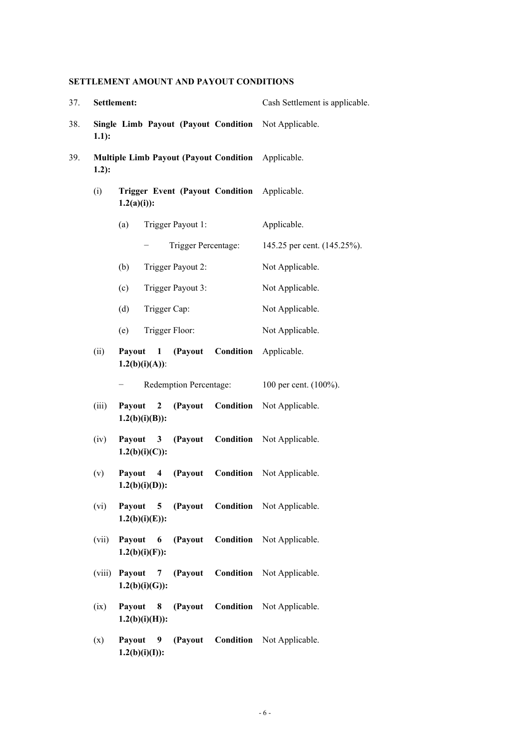# **SETTLEMENT AMOUNT AND PAYOUT CONDITIONS**

| 37. | Settlement: |                                                                                    | Cash Settlement is applicable. |
|-----|-------------|------------------------------------------------------------------------------------|--------------------------------|
| 38. | $1.1$ :     | <b>Single Limb Payout (Payout Condition</b>                                        | Not Applicable.                |
| 39. | $1.2)$ :    | <b>Multiple Limb Payout (Payout Condition</b>                                      | Applicable.                    |
|     | (i)         | Trigger Event (Payout Condition Applicable.<br>$1.2(a)(i))$ :                      |                                |
|     |             | Trigger Payout 1:<br>(a)                                                           | Applicable.                    |
|     |             | Trigger Percentage:                                                                | 145.25 per cent. (145.25%).    |
|     |             | Trigger Payout 2:<br>(b)                                                           | Not Applicable.                |
|     |             | (c)<br>Trigger Payout 3:                                                           | Not Applicable.                |
|     |             | (d)<br>Trigger Cap:                                                                | Not Applicable.                |
|     |             | Trigger Floor:<br>(e)                                                              | Not Applicable.                |
|     | (ii)        | Condition<br>(Payout<br><b>Payout</b><br>$\blacksquare$<br>$1.2(b)(i)(A))$ :       | Applicable.                    |
|     |             | <b>Redemption Percentage:</b>                                                      | 100 per cent. (100%).          |
|     | (iii)       | Condition<br>(Payout<br>Payout<br>$\mathbf{2}$<br>$1.2(b)(i)(B))$ :                | Not Applicable.                |
|     | (iv)        | Condition<br>(Payout<br>Payout<br>$\overline{\mathbf{3}}$<br>$1.2(b)(i)(C))$ :     | Not Applicable.                |
|     | (v)         | Condition<br>Payout<br>(Payout<br>$\overline{\mathbf{4}}$<br>$1.2(b)(i)(D))$ :     | Not Applicable.                |
|     | (vi)        | (Payout Condition Not Applicable.<br>Payout<br>5 <sup>5</sup><br>$1.2(b)(i)(E))$ : |                                |
|     | (vii)       | Condition<br>Payout<br>(Payout<br>6<br>$1.2(b)(i)(F)$ :                            | Not Applicable.                |
|     | (viii)      | Condition<br>Payout<br>(Payout<br>7<br>$1.2(b)(i)(G)$ :                            | Not Applicable.                |
|     | (ix)        | Condition<br>Payout<br>(Payout<br>8<br>$1.2(b)(i)(H))$ :                           | Not Applicable.                |
|     | (x)         | (Payout<br>Condition<br>Payout<br>9<br>$1.2(b)(i)(I))$ :                           | Not Applicable.                |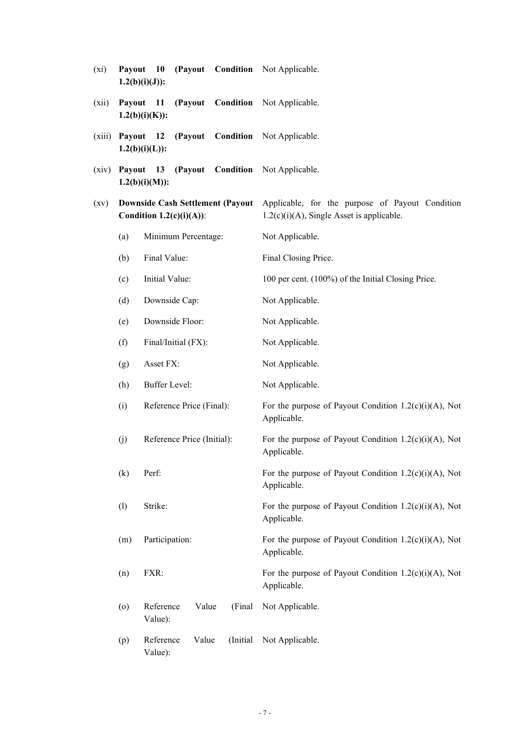| $(x_i)$ | Payout | <b>10</b><br>(Payout<br>$1.2(b)(i)(J))$ :                               | <b>Condition</b> Not Applicable.                                                                |
|---------|--------|-------------------------------------------------------------------------|-------------------------------------------------------------------------------------------------|
| (xii)   | Payout | 11<br>(Payout<br>Condition<br>$1.2(b)(i)(K))$ :                         | Not Applicable.                                                                                 |
| (xiii)  |        | Payout 12<br>(Payout<br>$1.2(b)(i)(L))$ :                               | <b>Condition</b> Not Applicable.                                                                |
| (xiv)   | Payout | <b>13</b><br>(Payout<br>$1.2(b)(i)(M))$ :                               | Condition Not Applicable.                                                                       |
| (xv)    |        | <b>Downside Cash Settlement (Payout)</b><br>Condition $1.2(c)(i)(A))$ : | Applicable, for the purpose of Payout Condition<br>$1.2(c)(i)(A)$ , Single Asset is applicable. |
|         | (a)    | Minimum Percentage:                                                     | Not Applicable.                                                                                 |
|         | (b)    | Final Value:                                                            | Final Closing Price.                                                                            |
|         | (c)    | Initial Value:                                                          | 100 per cent. (100%) of the Initial Closing Price.                                              |
|         | (d)    | Downside Cap:                                                           | Not Applicable.                                                                                 |
|         | (e)    | Downside Floor:                                                         | Not Applicable.                                                                                 |
|         | (f)    | Final/Initial (FX):                                                     | Not Applicable.                                                                                 |
|         | (g)    | Asset FX:                                                               | Not Applicable.                                                                                 |
|         | (h)    | Buffer Level:                                                           | Not Applicable.                                                                                 |
|         | (i)    | Reference Price (Final):                                                | For the purpose of Payout Condition $1.2(c)(i)(A)$ , Not<br>Applicable.                         |
|         | (j)    | Reference Price (Initial):                                              | For the purpose of Payout Condition $1.2(c)(i)(A)$ , Not<br>Applicable.                         |
|         | (k)    | Perf:                                                                   | For the purpose of Payout Condition $1.2(c)(i)(A)$ , Not<br>Applicable.                         |
|         | (1)    | Strike:                                                                 | For the purpose of Payout Condition $1.2(c)(i)(A)$ , Not<br>Applicable.                         |
|         | (m)    | Participation:                                                          | For the purpose of Payout Condition $1.2(c)(i)(A)$ , Not<br>Applicable.                         |
|         | (n)    | FXR:                                                                    | For the purpose of Payout Condition $1.2(c)(i)(A)$ , Not<br>Applicable.                         |
|         | (o)    | Reference<br>Value<br>(Final<br>Value):                                 | Not Applicable.                                                                                 |
|         | (p)    | Reference<br>Value<br>(Initial)<br>Value):                              | Not Applicable.                                                                                 |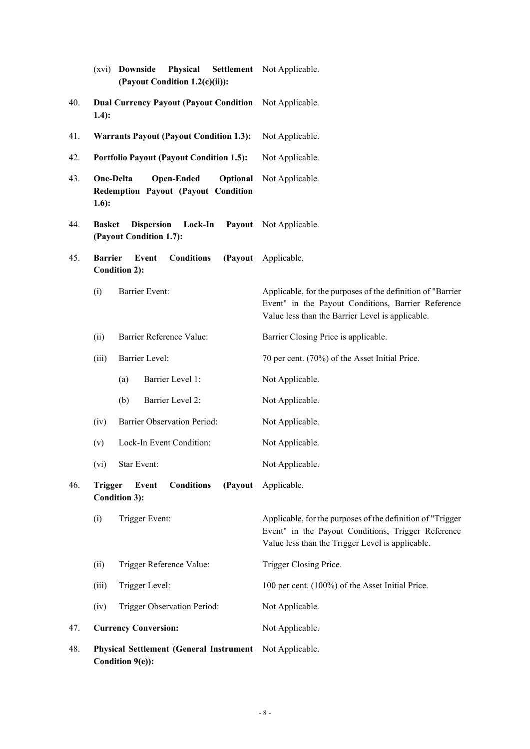|     | Physical Settlement Not Applicable.<br>(xvi) <b>Downside</b><br>(Payout Condition 1.2(c)(ii)): |                                                                                                                                                                      |
|-----|------------------------------------------------------------------------------------------------|----------------------------------------------------------------------------------------------------------------------------------------------------------------------|
| 40. | <b>Dual Currency Payout (Payout Condition</b><br>$1.4)$ :                                      | Not Applicable.                                                                                                                                                      |
| 41. | <b>Warrants Payout (Payout Condition 1.3):</b>                                                 | Not Applicable.                                                                                                                                                      |
| 42. | <b>Portfolio Payout (Payout Condition 1.5):</b>                                                | Not Applicable.                                                                                                                                                      |
| 43. | One-Delta<br><b>Open-Ended</b><br>Optional<br>Redemption Payout (Payout Condition<br>$1.6$ :   | Not Applicable.                                                                                                                                                      |
| 44. | <b>Dispersion</b><br>Lock-In<br><b>Basket</b><br>(Payout Condition 1.7):                       | Payout Not Applicable.                                                                                                                                               |
| 45. | <b>Barrier</b><br><b>Conditions</b><br>Event<br>(Payout<br><b>Condition 2):</b>                | Applicable.                                                                                                                                                          |
|     | <b>Barrier Event:</b><br>(i)                                                                   | Applicable, for the purposes of the definition of "Barrier<br>Event" in the Payout Conditions, Barrier Reference<br>Value less than the Barrier Level is applicable. |
|     | Barrier Reference Value:<br>(ii)                                                               | Barrier Closing Price is applicable.                                                                                                                                 |
|     | Barrier Level:<br>(iii)                                                                        | 70 per cent. (70%) of the Asset Initial Price.                                                                                                                       |
|     | Barrier Level 1:<br>(a)                                                                        | Not Applicable.                                                                                                                                                      |
|     | (b)<br>Barrier Level 2:                                                                        | Not Applicable.                                                                                                                                                      |
|     | Barrier Observation Period:<br>(iv)                                                            | Not Applicable.                                                                                                                                                      |
|     | Lock-In Event Condition:<br>(v)                                                                | Not Applicable.                                                                                                                                                      |
|     | Star Event:<br>(vi)                                                                            | Not Applicable.                                                                                                                                                      |
| 46. | (Payout<br><b>Trigger</b><br>Event<br><b>Conditions</b><br><b>Condition 3):</b>                | Applicable.                                                                                                                                                          |
|     | Trigger Event:<br>(i)                                                                          | Applicable, for the purposes of the definition of "Trigger<br>Event" in the Payout Conditions, Trigger Reference<br>Value less than the Trigger Level is applicable. |
|     | Trigger Reference Value:<br>(ii)                                                               | Trigger Closing Price.                                                                                                                                               |
|     | Trigger Level:<br>(iii)                                                                        | 100 per cent. (100%) of the Asset Initial Price.                                                                                                                     |
|     | (iv)<br>Trigger Observation Period:                                                            | Not Applicable.                                                                                                                                                      |
| 47. | <b>Currency Conversion:</b>                                                                    | Not Applicable.                                                                                                                                                      |
| 48. | <b>Physical Settlement (General Instrument)</b><br>Condition 9(e)):                            | Not Applicable.                                                                                                                                                      |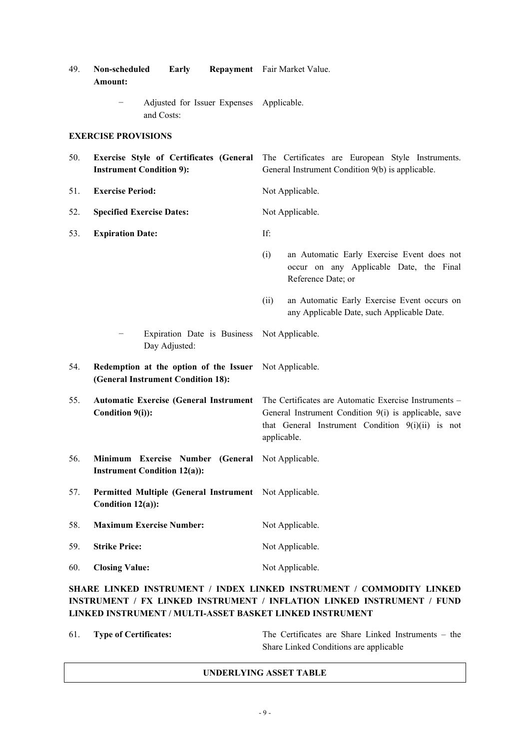| 49. | Non-scheduled<br>Early<br>Amount:                                                 | Repayment Fair Market Value.                                                                                                                                                         |
|-----|-----------------------------------------------------------------------------------|--------------------------------------------------------------------------------------------------------------------------------------------------------------------------------------|
|     | Adjusted for Issuer Expenses Applicable.<br>and Costs:                            |                                                                                                                                                                                      |
|     | <b>EXERCISE PROVISIONS</b>                                                        |                                                                                                                                                                                      |
| 50. | <b>Exercise Style of Certificates (General</b><br><b>Instrument Condition 9):</b> | The Certificates are European Style Instruments.<br>General Instrument Condition 9(b) is applicable.                                                                                 |
| 51. | <b>Exercise Period:</b>                                                           | Not Applicable.                                                                                                                                                                      |
| 52. | <b>Specified Exercise Dates:</b>                                                  | Not Applicable.                                                                                                                                                                      |
| 53. | <b>Expiration Date:</b>                                                           | If:                                                                                                                                                                                  |
|     |                                                                                   | (i)<br>an Automatic Early Exercise Event does not<br>occur on any Applicable Date, the Final<br>Reference Date; or                                                                   |
|     |                                                                                   | (ii)<br>an Automatic Early Exercise Event occurs on<br>any Applicable Date, such Applicable Date.                                                                                    |
|     | Expiration Date is Business<br>Day Adjusted:                                      | Not Applicable.                                                                                                                                                                      |
| 54. | Redemption at the option of the Issuer<br>(General Instrument Condition 18):      | Not Applicable.                                                                                                                                                                      |
| 55. | <b>Automatic Exercise (General Instrument</b><br>Condition 9(i)):                 | The Certificates are Automatic Exercise Instruments –<br>General Instrument Condition 9(i) is applicable, save<br>that General Instrument Condition $9(i)(ii)$ is not<br>applicable. |
| 56. | Minimum Exercise Number (General<br><b>Instrument Condition 12(a)):</b>           | Not Applicable.                                                                                                                                                                      |
| 57. | Permitted Multiple (General Instrument<br>Condition 12(a)):                       | Not Applicable.                                                                                                                                                                      |
| 58. | <b>Maximum Exercise Number:</b>                                                   | Not Applicable.                                                                                                                                                                      |
| 59. | <b>Strike Price:</b>                                                              | Not Applicable.                                                                                                                                                                      |
| 60. | <b>Closing Value:</b>                                                             | Not Applicable.                                                                                                                                                                      |
|     |                                                                                   |                                                                                                                                                                                      |

# **SHARE LINKED INSTRUMENT / INDEX LINKED INSTRUMENT / COMMODITY LINKED INSTRUMENT / FX LINKED INSTRUMENT / INFLATION LINKED INSTRUMENT / FUND LINKED INSTRUMENT / MULTI-ASSET BASKET LINKED INSTRUMENT**

61. **Type of Certificates:** The Certificates are Share Linked Instruments – the Share Linked Conditions are applicable

## **UNDERLYING ASSET TABLE**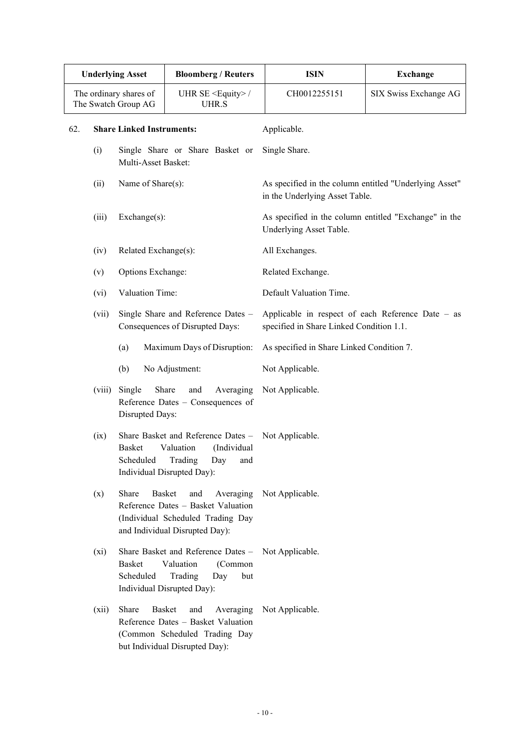| <b>Underlying Asset</b> |                                                                                                                                                       |                                                                                                                                                         |                                           | <b>Bloomberg / Reuters</b>                 | <b>ISIN</b>                                                                                   | Exchange              |
|-------------------------|-------------------------------------------------------------------------------------------------------------------------------------------------------|---------------------------------------------------------------------------------------------------------------------------------------------------------|-------------------------------------------|--------------------------------------------|-----------------------------------------------------------------------------------------------|-----------------------|
|                         |                                                                                                                                                       | The ordinary shares of<br>The Swatch Group AG                                                                                                           |                                           | UHR SE <equity>/<br/><b>UHR.S</b></equity> | CH0012255151                                                                                  | SIX Swiss Exchange AG |
| 62.                     | <b>Share Linked Instruments:</b>                                                                                                                      |                                                                                                                                                         |                                           |                                            | Applicable.                                                                                   |                       |
|                         | (i)                                                                                                                                                   | Multi-Asset Basket:                                                                                                                                     |                                           | Single Share or Share Basket or            | Single Share.                                                                                 |                       |
|                         | (ii)                                                                                                                                                  | Name of Share(s):                                                                                                                                       |                                           |                                            | As specified in the column entitled "Underlying Asset"<br>in the Underlying Asset Table.      |                       |
|                         | (iii)                                                                                                                                                 | Exchange(s):                                                                                                                                            |                                           |                                            | As specified in the column entitled "Exchange" in the<br>Underlying Asset Table.              |                       |
|                         | (iv)                                                                                                                                                  | Related Exchange(s):                                                                                                                                    |                                           |                                            | All Exchanges.                                                                                |                       |
|                         | (v)                                                                                                                                                   | Options Exchange:                                                                                                                                       |                                           |                                            | Related Exchange.                                                                             |                       |
|                         | (vi)                                                                                                                                                  | Valuation Time:                                                                                                                                         |                                           |                                            | Default Valuation Time.                                                                       |                       |
|                         | (vii)                                                                                                                                                 | Single Share and Reference Dates -<br>Consequences of Disrupted Days:                                                                                   |                                           |                                            | Applicable in respect of each Reference Date - as<br>specified in Share Linked Condition 1.1. |                       |
|                         | Maximum Days of Disruption:<br>(a)                                                                                                                    |                                                                                                                                                         | As specified in Share Linked Condition 7. |                                            |                                                                                               |                       |
|                         |                                                                                                                                                       | (b)<br>No Adjustment:                                                                                                                                   |                                           | Not Applicable.                            |                                                                                               |                       |
|                         | (viii)                                                                                                                                                | Share<br>Single<br>Averaging<br>and<br>Reference Dates - Consequences of<br>Disrupted Days:                                                             |                                           | Not Applicable.                            |                                                                                               |                       |
|                         | (ix)                                                                                                                                                  | Share Basket and Reference Dates -<br><b>Basket</b><br>Valuation<br>(Individual<br>Scheduled<br>Trading<br>Day<br>and<br>Individual Disrupted Day):     |                                           | Not Applicable.                            |                                                                                               |                       |
|                         | (x)                                                                                                                                                   | Share<br><b>Basket</b><br>and<br>Averaging<br>Reference Dates - Basket Valuation<br>(Individual Scheduled Trading Day<br>and Individual Disrupted Day): |                                           | Not Applicable.                            |                                                                                               |                       |
|                         | $(x_i)$                                                                                                                                               | Share Basket and Reference Dates -<br><b>Basket</b><br>Valuation<br>(Common<br>Scheduled<br>Trading<br>Day<br>but<br>Individual Disrupted Day):         |                                           | Not Applicable.                            |                                                                                               |                       |
|                         | Share<br>Basket<br>(xii)<br>Averaging<br>and<br>Reference Dates - Basket Valuation<br>(Common Scheduled Trading Day<br>but Individual Disrupted Day): |                                                                                                                                                         |                                           |                                            | Not Applicable.                                                                               |                       |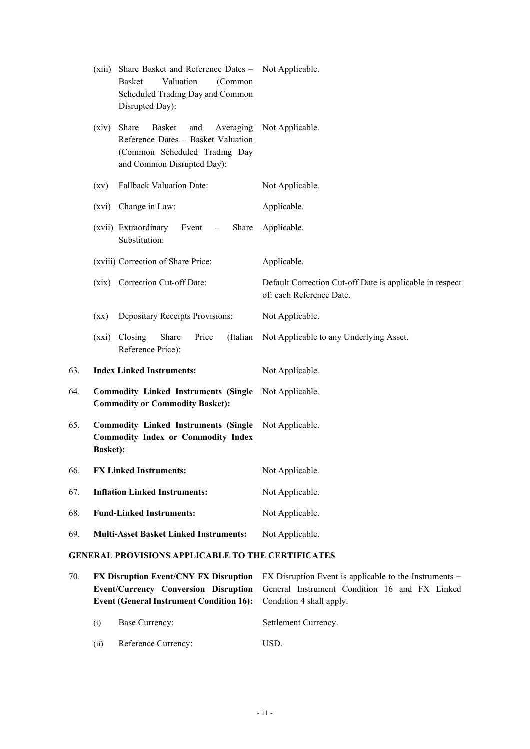|     | Share Basket and Reference Dates - Not Applicable.<br>(xiii)<br>Valuation<br>Basket<br>(Common<br>Scheduled Trading Day and Common<br>Disrupted Day): |                                                                                      |
|-----|-------------------------------------------------------------------------------------------------------------------------------------------------------|--------------------------------------------------------------------------------------|
|     | Share<br>Basket<br>and<br>Averaging<br>(xiv)<br>Reference Dates - Basket Valuation<br>(Common Scheduled Trading Day<br>and Common Disrupted Day):     | Not Applicable.                                                                      |
|     | <b>Fallback Valuation Date:</b><br>(xv)                                                                                                               | Not Applicable.                                                                      |
|     | (xvi) Change in Law:                                                                                                                                  | Applicable.                                                                          |
|     | (xvii) Extraordinary<br>Share<br>Event<br>$\overline{\phantom{m}}$<br>Substitution:                                                                   | Applicable.                                                                          |
|     | (xviii) Correction of Share Price:                                                                                                                    | Applicable.                                                                          |
|     | (xix) Correction Cut-off Date:                                                                                                                        | Default Correction Cut-off Date is applicable in respect<br>of: each Reference Date. |
|     | Depositary Receipts Provisions:<br>(xx)                                                                                                               | Not Applicable.                                                                      |
|     | (xxi) Closing<br>Share<br>Price<br>(Italian<br>Reference Price):                                                                                      | Not Applicable to any Underlying Asset.                                              |
| 63. | <b>Index Linked Instruments:</b>                                                                                                                      | Not Applicable.                                                                      |
| 64. | <b>Commodity Linked Instruments (Single Not Applicable.</b><br><b>Commodity or Commodity Basket):</b>                                                 |                                                                                      |
| 65. | <b>Commodity Linked Instruments (Single)</b><br><b>Commodity Index or Commodity Index</b><br><b>Basket):</b>                                          | Not Applicable.                                                                      |
| 66. | <b>FX Linked Instruments:</b>                                                                                                                         | Not Applicable.                                                                      |
| 67. | <b>Inflation Linked Instruments:</b>                                                                                                                  | Not Applicable.                                                                      |
| 68. | <b>Fund-Linked Instruments:</b>                                                                                                                       | Not Applicable.                                                                      |
| 69. | <b>Multi-Asset Basket Linked Instruments:</b>                                                                                                         | Not Applicable.                                                                      |

# **GENERAL PROVISIONS APPLICABLE TO THE CERTIFICATES**

| 70. |                                                                          |                     | <b>FX Disruption Event/CNY FX Disruption</b> FX Disruption Event is applicable to the Instruments – |  |  |
|-----|--------------------------------------------------------------------------|---------------------|-----------------------------------------------------------------------------------------------------|--|--|
|     |                                                                          |                     | <b>Event/Currency Conversion Disruption</b> General Instrument Condition 16 and FX Linked           |  |  |
|     | <b>Event (General Instrument Condition 16):</b> Condition 4 shall apply. |                     |                                                                                                     |  |  |
|     |                                                                          |                     |                                                                                                     |  |  |
|     | (i)                                                                      | Base Currency:      | Settlement Currency.                                                                                |  |  |
|     | (ii)                                                                     | Reference Currency: | USD.                                                                                                |  |  |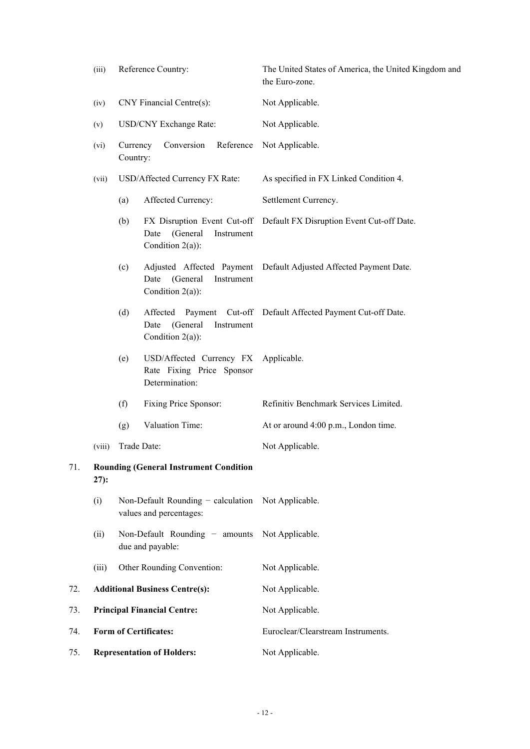| Reference Country:<br>(iii) |                                   |                      | The United States of America, the United Kingdom and<br>the Euro-zone.            |                                                                       |  |  |
|-----------------------------|-----------------------------------|----------------------|-----------------------------------------------------------------------------------|-----------------------------------------------------------------------|--|--|
|                             | CNY Financial Centre(s):<br>(iv)  |                      |                                                                                   | Not Applicable.                                                       |  |  |
|                             | USD/CNY Exchange Rate:<br>(v)     |                      |                                                                                   | Not Applicable.                                                       |  |  |
|                             | (vi)                              | Currency<br>Country: | Conversion<br>Reference                                                           | Not Applicable.                                                       |  |  |
|                             | (vii)                             |                      | USD/Affected Currency FX Rate:                                                    | As specified in FX Linked Condition 4.                                |  |  |
|                             |                                   | (a)                  | Affected Currency:                                                                | Settlement Currency.                                                  |  |  |
|                             |                                   | (b)                  | (General<br>Date<br>Instrument<br>Condition $2(a)$ :                              | FX Disruption Event Cut-off Default FX Disruption Event Cut-off Date. |  |  |
|                             |                                   | (c)                  | Adjusted Affected Payment<br>(General<br>Date<br>Instrument<br>Condition $2(a)$ : | Default Adjusted Affected Payment Date.                               |  |  |
|                             |                                   | (d)                  | (General<br>Date<br>Instrument<br>Condition $2(a)$ :                              | Affected Payment Cut-off Default Affected Payment Cut-off Date.       |  |  |
|                             |                                   | (e)                  | USD/Affected Currency FX<br>Rate Fixing Price Sponsor<br>Determination:           | Applicable.                                                           |  |  |
|                             |                                   | (f)                  | Fixing Price Sponsor:                                                             | Refinitiv Benchmark Services Limited.                                 |  |  |
|                             |                                   | (g)                  | Valuation Time:                                                                   | At or around 4:00 p.m., London time.                                  |  |  |
|                             | (viii)                            |                      | Trade Date:                                                                       | Not Applicable.                                                       |  |  |
| 71.                         | $27)$ :                           |                      | <b>Rounding (General Instrument Condition</b>                                     |                                                                       |  |  |
|                             | (i)                               |                      | Non-Default Rounding - calculation Not Applicable.<br>values and percentages:     |                                                                       |  |  |
|                             | (ii)                              |                      | Non-Default Rounding $-$ amounts<br>due and payable:                              | Not Applicable.                                                       |  |  |
|                             | (iii)                             |                      | Other Rounding Convention:                                                        | Not Applicable.                                                       |  |  |
| 72.                         |                                   |                      | <b>Additional Business Centre(s):</b>                                             | Not Applicable.                                                       |  |  |
| 73.                         |                                   |                      | <b>Principal Financial Centre:</b>                                                | Not Applicable.                                                       |  |  |
| 74.                         | <b>Form of Certificates:</b>      |                      |                                                                                   | Euroclear/Clearstream Instruments.                                    |  |  |
| 75.                         | <b>Representation of Holders:</b> |                      |                                                                                   | Not Applicable.                                                       |  |  |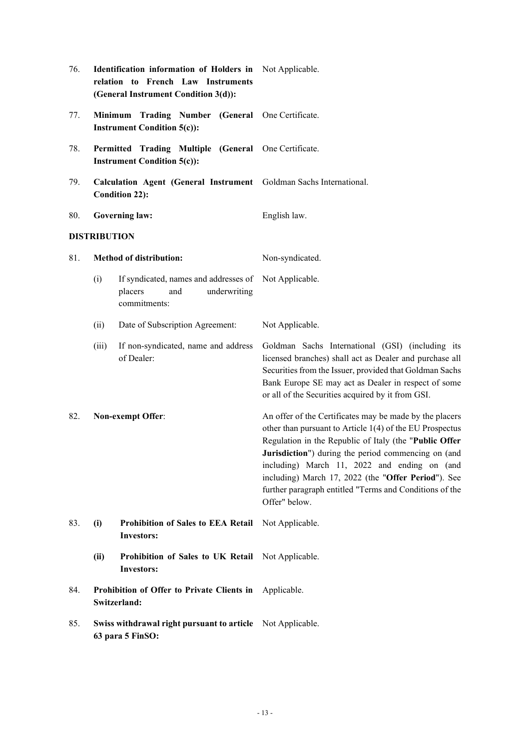| 76. |                                                                                             | Identification information of Holders in Not Applicable.<br>relation to French Law Instruments<br>(General Instrument Condition 3(d)): |                                                                                                                                                                                                                                                                                                                                                                                                                         |  |  |
|-----|---------------------------------------------------------------------------------------------|----------------------------------------------------------------------------------------------------------------------------------------|-------------------------------------------------------------------------------------------------------------------------------------------------------------------------------------------------------------------------------------------------------------------------------------------------------------------------------------------------------------------------------------------------------------------------|--|--|
| 77. |                                                                                             | Minimum Trading Number (General One Certificate.<br><b>Instrument Condition 5(c)):</b>                                                 |                                                                                                                                                                                                                                                                                                                                                                                                                         |  |  |
| 78. |                                                                                             | Permitted Trading Multiple (General One Certificate.<br><b>Instrument Condition 5(c)):</b>                                             |                                                                                                                                                                                                                                                                                                                                                                                                                         |  |  |
| 79. | Calculation Agent (General Instrument Goldman Sachs International.<br><b>Condition 22):</b> |                                                                                                                                        |                                                                                                                                                                                                                                                                                                                                                                                                                         |  |  |
| 80. |                                                                                             | <b>Governing law:</b>                                                                                                                  | English law.                                                                                                                                                                                                                                                                                                                                                                                                            |  |  |
|     | <b>DISTRIBUTION</b>                                                                         |                                                                                                                                        |                                                                                                                                                                                                                                                                                                                                                                                                                         |  |  |
| 81. |                                                                                             | <b>Method of distribution:</b>                                                                                                         | Non-syndicated.                                                                                                                                                                                                                                                                                                                                                                                                         |  |  |
|     | (i)                                                                                         | If syndicated, names and addresses of Not Applicable.<br>placers<br>underwriting<br>and<br>commitments:                                |                                                                                                                                                                                                                                                                                                                                                                                                                         |  |  |
|     | (ii)                                                                                        | Date of Subscription Agreement:                                                                                                        | Not Applicable.                                                                                                                                                                                                                                                                                                                                                                                                         |  |  |
|     | (iii)                                                                                       | If non-syndicated, name and address<br>of Dealer:                                                                                      | Goldman Sachs International (GSI) (including its<br>licensed branches) shall act as Dealer and purchase all<br>Securities from the Issuer, provided that Goldman Sachs<br>Bank Europe SE may act as Dealer in respect of some<br>or all of the Securities acquired by it from GSI.                                                                                                                                      |  |  |
| 82. |                                                                                             | Non-exempt Offer:                                                                                                                      | An offer of the Certificates may be made by the placers<br>other than pursuant to Article 1(4) of the EU Prospectus<br>Regulation in the Republic of Italy (the "Public Offer<br>Jurisdiction") during the period commencing on (and<br>including) March 11, 2022 and ending on (and<br>including) March 17, 2022 (the "Offer Period"). See<br>further paragraph entitled "Terms and Conditions of the<br>Offer" below. |  |  |
| 83. | (i)                                                                                         | <b>Prohibition of Sales to EEA Retail</b><br><b>Investors:</b>                                                                         | Not Applicable.                                                                                                                                                                                                                                                                                                                                                                                                         |  |  |
|     | (ii)                                                                                        | Prohibition of Sales to UK Retail Not Applicable.<br><b>Investors:</b>                                                                 |                                                                                                                                                                                                                                                                                                                                                                                                                         |  |  |
| 84. |                                                                                             | Prohibition of Offer to Private Clients in<br>Switzerland:                                                                             | Applicable.                                                                                                                                                                                                                                                                                                                                                                                                             |  |  |
| 85. |                                                                                             | Swiss withdrawal right pursuant to article Not Applicable.<br>63 para 5 FinSO:                                                         |                                                                                                                                                                                                                                                                                                                                                                                                                         |  |  |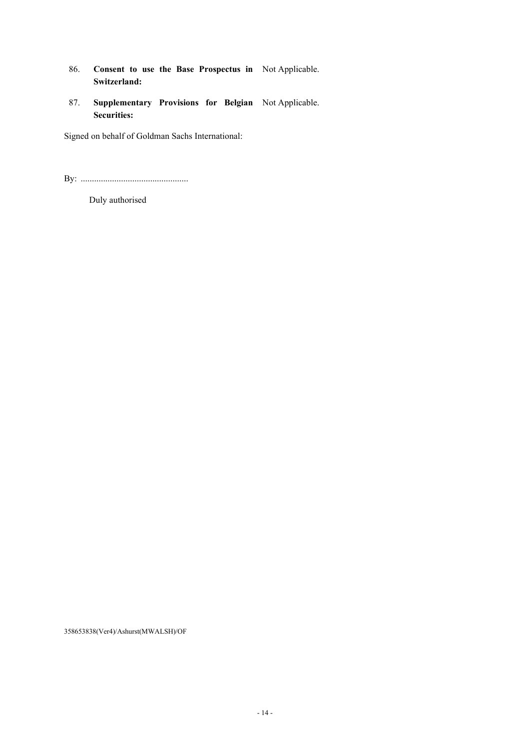- 86. **Consent to use the Base Prospectus in**  Not Applicable. **Switzerland:**
- 87. **Supplementary Provisions for Belgian**  Not Applicable. **Securities:**

Signed on behalf of Goldman Sachs International:

By: ................................................

Duly authorised

358653838(Ver4)/Ashurst(MWALSH)/OF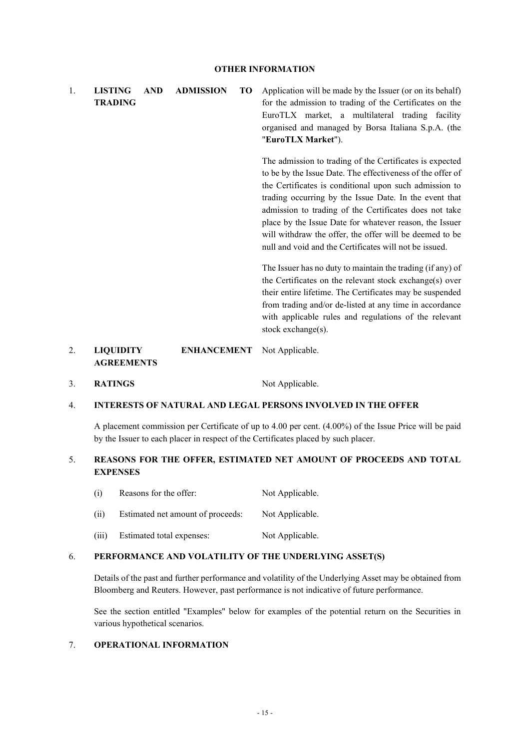1. **LISTING AND ADMISSION TO TRADING**  Application will be made by the Issuer (or on its behalf) for the admission to trading of the Certificates on the EuroTLX market, a multilateral trading facility organised and managed by Borsa Italiana S.p.A. (the "**EuroTLX Market**").

> The admission to trading of the Certificates is expected to be by the Issue Date. The effectiveness of the offer of the Certificates is conditional upon such admission to trading occurring by the Issue Date. In the event that admission to trading of the Certificates does not take place by the Issue Date for whatever reason, the Issuer will withdraw the offer, the offer will be deemed to be null and void and the Certificates will not be issued.

> The Issuer has no duty to maintain the trading (if any) of the Certificates on the relevant stock exchange(s) over their entire lifetime. The Certificates may be suspended from trading and/or de-listed at any time in accordance with applicable rules and regulations of the relevant stock exchange(s).

#### 2. **LIQUIDITY ENHANCEMENT AGREEMENTS**  Not Applicable.

3. **RATINGS** Not Applicable.

# 4. **INTERESTS OF NATURAL AND LEGAL PERSONS INVOLVED IN THE OFFER**

A placement commission per Certificate of up to 4.00 per cent. (4.00%) of the Issue Price will be paid by the Issuer to each placer in respect of the Certificates placed by such placer.

# 5. **REASONS FOR THE OFFER, ESTIMATED NET AMOUNT OF PROCEEDS AND TOTAL EXPENSES**

- (i) Reasons for the offer: Not Applicable.
- (ii) Estimated net amount of proceeds: Not Applicable.
- (iii) Estimated total expenses: Not Applicable.

#### 6. **PERFORMANCE AND VOLATILITY OF THE UNDERLYING ASSET(S)**

Details of the past and further performance and volatility of the Underlying Asset may be obtained from Bloomberg and Reuters. However, past performance is not indicative of future performance.

See the section entitled "Examples" below for examples of the potential return on the Securities in various hypothetical scenarios.

## 7. **OPERATIONAL INFORMATION**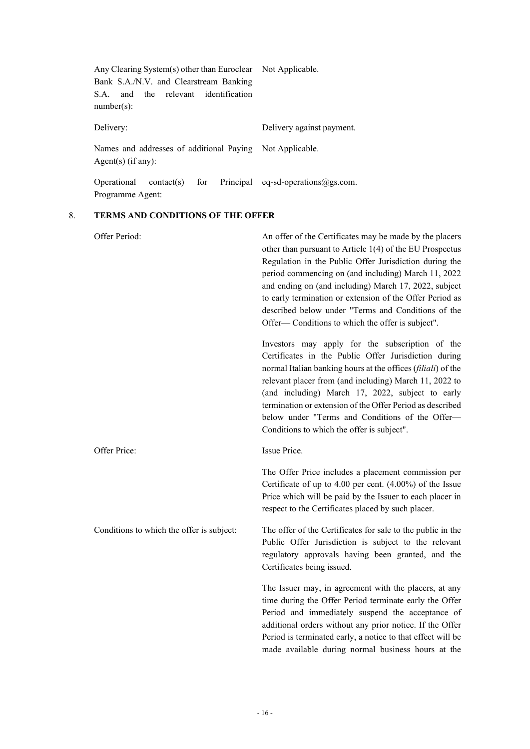| Any Clearing System(s) other than Euroclear Not Applicable.       |                           |
|-------------------------------------------------------------------|---------------------------|
| Bank S.A./N.V. and Clearstream Banking                            |                           |
| and the relevant identification<br>S.A.                           |                           |
| $number(s)$ :                                                     |                           |
|                                                                   |                           |
| Delivery:                                                         | Delivery against payment. |
| Names and addresses of additional Paying Not Applicable.          |                           |
| Agent(s) (if any):                                                |                           |
|                                                                   |                           |
| Operational contact(s) for Principal eq-sd-operations $@gs.com$ . |                           |
| Programme Agent:                                                  |                           |

## 8. **TERMS AND CONDITIONS OF THE OFFER**

| Offer Period:                             | An offer of the Certificates may be made by the placers<br>other than pursuant to Article 1(4) of the EU Prospectus<br>Regulation in the Public Offer Jurisdiction during the<br>period commencing on (and including) March 11, 2022<br>and ending on (and including) March 17, 2022, subject<br>to early termination or extension of the Offer Period as<br>described below under "Terms and Conditions of the<br>Offer—Conditions to which the offer is subject". |
|-------------------------------------------|---------------------------------------------------------------------------------------------------------------------------------------------------------------------------------------------------------------------------------------------------------------------------------------------------------------------------------------------------------------------------------------------------------------------------------------------------------------------|
|                                           | Investors may apply for the subscription of the<br>Certificates in the Public Offer Jurisdiction during<br>normal Italian banking hours at the offices (filiali) of the<br>relevant placer from (and including) March 11, 2022 to<br>(and including) March 17, 2022, subject to early<br>termination or extension of the Offer Period as described<br>below under "Terms and Conditions of the Offer-<br>Conditions to which the offer is subject".                 |
| Offer Price:                              | Issue Price.                                                                                                                                                                                                                                                                                                                                                                                                                                                        |
|                                           | The Offer Price includes a placement commission per<br>Certificate of up to 4.00 per cent. (4.00%) of the Issue<br>Price which will be paid by the Issuer to each placer in<br>respect to the Certificates placed by such placer.                                                                                                                                                                                                                                   |
| Conditions to which the offer is subject: | The offer of the Certificates for sale to the public in the<br>Public Offer Jurisdiction is subject to the relevant<br>regulatory approvals having been granted, and the<br>Certificates being issued.                                                                                                                                                                                                                                                              |
|                                           | The Issuer may, in agreement with the placers, at any<br>time during the Offer Period terminate early the Offer<br>Period and immediately suspend the acceptance of<br>additional orders without any prior notice. If the Offer<br>Period is terminated early, a notice to that effect will be<br>made available during normal business hours at the                                                                                                                |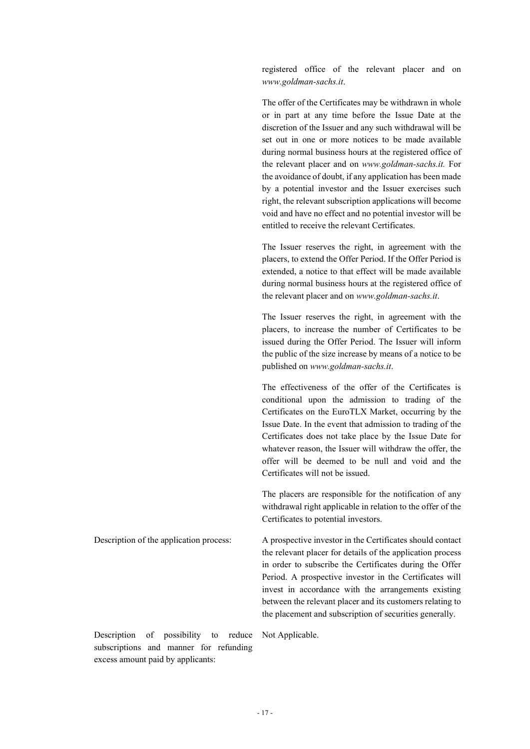registered office of the relevant placer and on *www.goldman-sachs.it*.

The offer of the Certificates may be withdrawn in whole or in part at any time before the Issue Date at the discretion of the Issuer and any such withdrawal will be set out in one or more notices to be made available during normal business hours at the registered office of the relevant placer and on *[www.goldman-sachs.it.](http://www.goldman-sachs.it/)* For the avoidance of doubt, if any application has been made by a potential investor and the Issuer exercises such right, the relevant subscription applications will become void and have no effect and no potential investor will be entitled to receive the relevant Certificates.

The Issuer reserves the right, in agreement with the placers, to extend the Offer Period. If the Offer Period is extended, a notice to that effect will be made available during normal business hours at the registered office of the relevant placer and on *www.goldman-sachs.it*.

The Issuer reserves the right, in agreement with the placers, to increase the number of Certificates to be issued during the Offer Period. The Issuer will inform the public of the size increase by means of a notice to be published on *www.goldman-sachs.it*.

The effectiveness of the offer of the Certificates is conditional upon the admission to trading of the Certificates on the EuroTLX Market, occurring by the Issue Date. In the event that admission to trading of the Certificates does not take place by the Issue Date for whatever reason, the Issuer will withdraw the offer, the offer will be deemed to be null and void and the Certificates will not be issued.

The placers are responsible for the notification of any withdrawal right applicable in relation to the offer of the Certificates to potential investors.

Description of the application process: A prospective investor in the Certificates should contact the relevant placer for details of the application process in order to subscribe the Certificates during the Offer Period. A prospective investor in the Certificates will invest in accordance with the arrangements existing between the relevant placer and its customers relating to the placement and subscription of securities generally.

Description of possibility to reduce subscriptions and manner for refunding excess amount paid by applicants:

Not Applicable.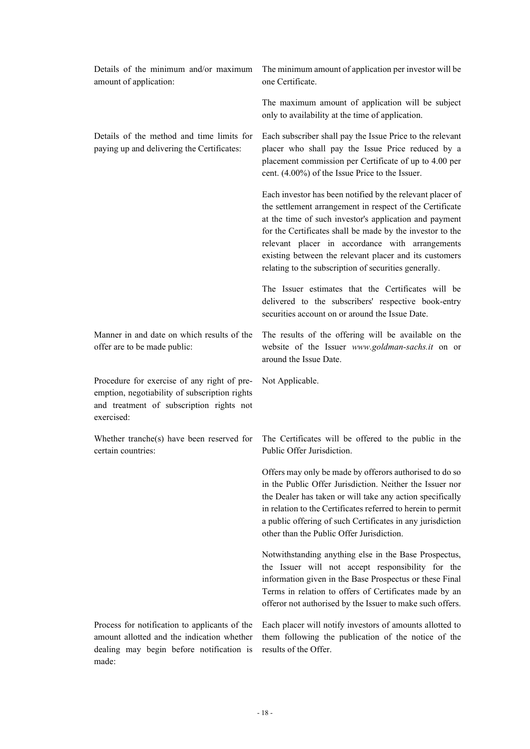| Details of the minimum and/or maximum<br>amount of application:                                                                                        | The minimum amount of application per investor will be<br>one Certificate.                                                                                                                                                                                                                                                                                                                                         |
|--------------------------------------------------------------------------------------------------------------------------------------------------------|--------------------------------------------------------------------------------------------------------------------------------------------------------------------------------------------------------------------------------------------------------------------------------------------------------------------------------------------------------------------------------------------------------------------|
|                                                                                                                                                        | The maximum amount of application will be subject<br>only to availability at the time of application.                                                                                                                                                                                                                                                                                                              |
| Details of the method and time limits for<br>paying up and delivering the Certificates:                                                                | Each subscriber shall pay the Issue Price to the relevant<br>placer who shall pay the Issue Price reduced by a<br>placement commission per Certificate of up to 4.00 per<br>cent. (4.00%) of the Issue Price to the Issuer.                                                                                                                                                                                        |
|                                                                                                                                                        | Each investor has been notified by the relevant placer of<br>the settlement arrangement in respect of the Certificate<br>at the time of such investor's application and payment<br>for the Certificates shall be made by the investor to the<br>relevant placer in accordance with arrangements<br>existing between the relevant placer and its customers<br>relating to the subscription of securities generally. |
|                                                                                                                                                        | The Issuer estimates that the Certificates will be<br>delivered to the subscribers' respective book-entry<br>securities account on or around the Issue Date.                                                                                                                                                                                                                                                       |
| Manner in and date on which results of the<br>offer are to be made public:                                                                             | The results of the offering will be available on the<br>website of the Issuer www.goldman-sachs.it on or<br>around the Issue Date.                                                                                                                                                                                                                                                                                 |
| Procedure for exercise of any right of pre-<br>emption, negotiability of subscription rights<br>and treatment of subscription rights not<br>exercised: | Not Applicable.                                                                                                                                                                                                                                                                                                                                                                                                    |
| Whether tranche(s) have been reserved for<br>certain countries:                                                                                        | The Certificates will be offered to the public in the<br>Public Offer Jurisdiction.                                                                                                                                                                                                                                                                                                                                |
|                                                                                                                                                        | Offers may only be made by offerors authorised to do so<br>in the Public Offer Jurisdiction. Neither the Issuer nor<br>the Dealer has taken or will take any action specifically<br>in relation to the Certificates referred to herein to permit<br>a public offering of such Certificates in any jurisdiction<br>other than the Public Offer Jurisdiction.                                                        |
|                                                                                                                                                        | Notwithstanding anything else in the Base Prospectus,<br>the Issuer will not accept responsibility for the<br>information given in the Base Prospectus or these Final<br>Terms in relation to offers of Certificates made by an<br>offeror not authorised by the Issuer to make such offers.                                                                                                                       |
| Process for notification to applicants of the<br>amount allotted and the indication whether<br>dealing may begin before notification is                | Each placer will notify investors of amounts allotted to<br>them following the publication of the notice of the<br>results of the Offer.                                                                                                                                                                                                                                                                           |

made: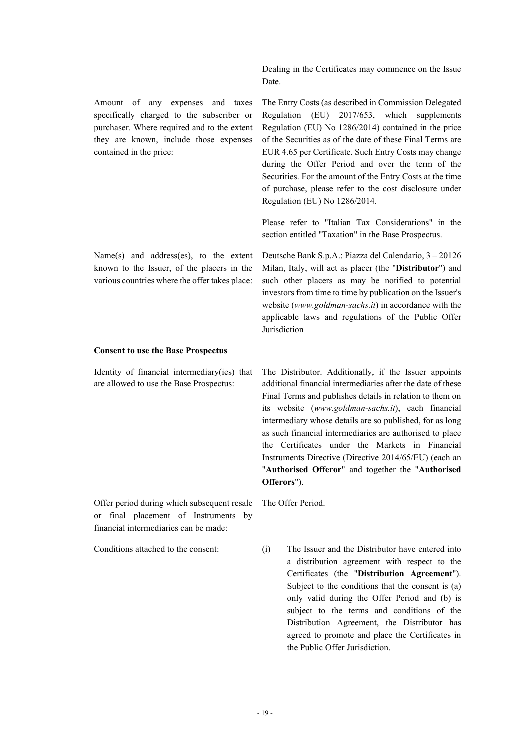Amount of any expenses and taxes specifically charged to the subscriber or purchaser. Where required and to the extent they are known, include those expenses contained in the price:

Name(s) and address(es), to the extent known to the Issuer, of the placers in the various countries where the offer takes place:

#### **Consent to use the Base Prospectus**

Identity of financial intermediary(ies) that are allowed to use the Base Prospectus:

The Distributor. Additionally, if the Issuer appoints additional financial intermediaries after the date of these Final Terms and publishes details in relation to them on its website (*www.goldman-sachs.it*), each financial intermediary whose details are so published, for as long as such financial intermediaries are authorised to place the Certificates under the Markets in Financial Instruments Directive (Directive 2014/65/EU) (each an "**Authorised Offeror**" and together the "**Authorised Offerors**").

Offer period during which subsequent resale or final placement of Instruments by financial intermediaries can be made:

The Offer Period.

Conditions attached to the consent: (i) The Issuer and the Distributor have entered into a distribution agreement with respect to the Certificates (the "**Distribution Agreement**"). Subject to the conditions that the consent is (a) only valid during the Offer Period and (b) is subject to the terms and conditions of the Distribution Agreement, the Distributor has agreed to promote and place the Certificates in the Public Offer Jurisdiction.

Dealing in the Certificates may commence on the Issue Date.

The Entry Costs (as described in Commission Delegated Regulation (EU) 2017/653, which supplements Regulation (EU) No 1286/2014) contained in the price of the Securities as of the date of these Final Terms are EUR 4.65 per Certificate. Such Entry Costs may change during the Offer Period and over the term of the Securities. For the amount of the Entry Costs at the time of purchase, please refer to the cost disclosure under Regulation (EU) No 1286/2014.

Please refer to "Italian Tax Considerations" in the section entitled "Taxation" in the Base Prospectus.

Deutsche Bank S.p.A.: Piazza del Calendario, 3 – 20126 Milan, Italy, will act as placer (the "**Distributor**") and such other placers as may be notified to potential investors from time to time by publication on the Issuer's website (*www.goldman-sachs.it*) in accordance with the applicable laws and regulations of the Public Offer Jurisdiction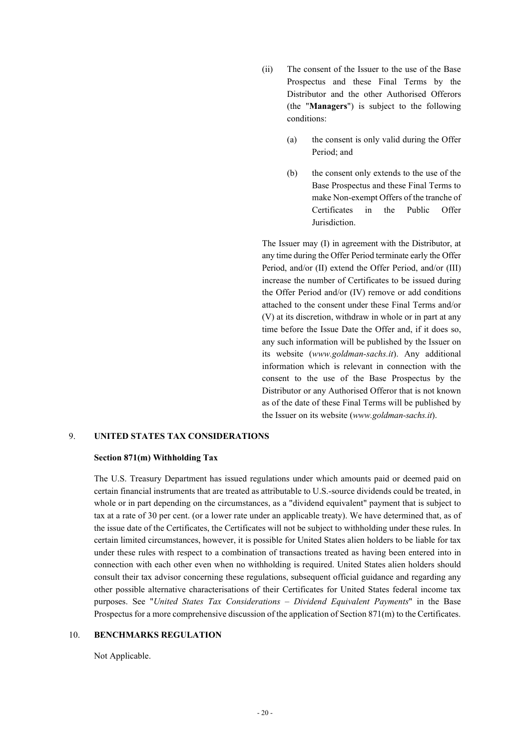- (ii) The consent of the Issuer to the use of the Base Prospectus and these Final Terms by the Distributor and the other Authorised Offerors (the "**Managers**") is subject to the following conditions:
	- (a) the consent is only valid during the Offer Period; and
	- (b) the consent only extends to the use of the Base Prospectus and these Final Terms to make Non-exempt Offers of the tranche of Certificates in the Public Offer Jurisdiction.

The Issuer may (I) in agreement with the Distributor, at any time during the Offer Period terminate early the Offer Period, and/or (II) extend the Offer Period, and/or (III) increase the number of Certificates to be issued during the Offer Period and/or (IV) remove or add conditions attached to the consent under these Final Terms and/or (V) at its discretion, withdraw in whole or in part at any time before the Issue Date the Offer and, if it does so, any such information will be published by the Issuer on its website (*www.goldman-sachs.it*). Any additional information which is relevant in connection with the consent to the use of the Base Prospectus by the Distributor or any Authorised Offeror that is not known as of the date of these Final Terms will be published by the Issuer on its website (*www.goldman-sachs.it*).

## 9. **UNITED STATES TAX CONSIDERATIONS**

#### **Section 871(m) Withholding Tax**

The U.S. Treasury Department has issued regulations under which amounts paid or deemed paid on certain financial instruments that are treated as attributable to U.S.-source dividends could be treated, in whole or in part depending on the circumstances, as a "dividend equivalent" payment that is subject to tax at a rate of 30 per cent. (or a lower rate under an applicable treaty). We have determined that, as of the issue date of the Certificates, the Certificates will not be subject to withholding under these rules. In certain limited circumstances, however, it is possible for United States alien holders to be liable for tax under these rules with respect to a combination of transactions treated as having been entered into in connection with each other even when no withholding is required. United States alien holders should consult their tax advisor concerning these regulations, subsequent official guidance and regarding any other possible alternative characterisations of their Certificates for United States federal income tax purposes. See "*United States Tax Considerations – Dividend Equivalent Payments*" in the Base Prospectus for a more comprehensive discussion of the application of Section 871(m) to the Certificates.

#### 10. **BENCHMARKS REGULATION**

Not Applicable.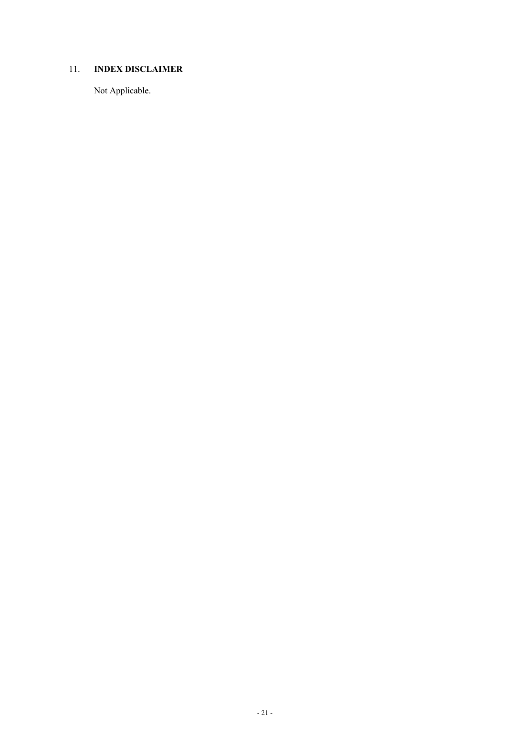# 11. **INDEX DISCLAIMER**

Not Applicable.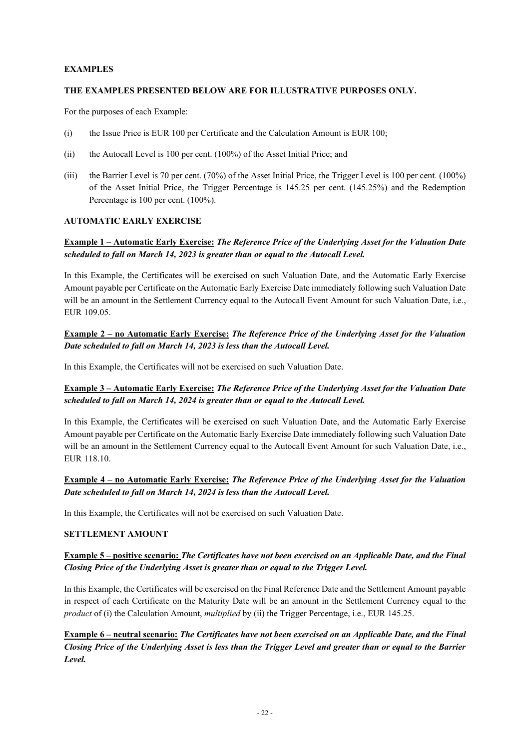# **EXAMPLES**

# **THE EXAMPLES PRESENTED BELOW ARE FOR ILLUSTRATIVE PURPOSES ONLY.**

For the purposes of each Example:

- (i) the Issue Price is EUR 100 per Certificate and the Calculation Amount is EUR 100;
- (ii) the Autocall Level is 100 per cent. (100%) of the Asset Initial Price; and
- (iii) the Barrier Level is 70 per cent. (70%) of the Asset Initial Price, the Trigger Level is 100 per cent. (100%) of the Asset Initial Price, the Trigger Percentage is 145.25 per cent. (145.25%) and the Redemption Percentage is 100 per cent. (100%).

## **AUTOMATIC EARLY EXERCISE**

# **Example 1 – Automatic Early Exercise:** *The Reference Price of the Underlying Asset for the Valuation Date scheduled to fall on March 14, 2023 is greater than or equal to the Autocall Level.*

In this Example, the Certificates will be exercised on such Valuation Date, and the Automatic Early Exercise Amount payable per Certificate on the Automatic Early Exercise Date immediately following such Valuation Date will be an amount in the Settlement Currency equal to the Autocall Event Amount for such Valuation Date, i.e., EUR 109.05.

# **Example 2 – no Automatic Early Exercise:** *The Reference Price of the Underlying Asset for the Valuation Date scheduled to fall on March 14, 2023 is less than the Autocall Level.*

In this Example, the Certificates will not be exercised on such Valuation Date.

# **Example 3 – Automatic Early Exercise:** *The Reference Price of the Underlying Asset for the Valuation Date scheduled to fall on March 14, 2024 is greater than or equal to the Autocall Level.*

In this Example, the Certificates will be exercised on such Valuation Date, and the Automatic Early Exercise Amount payable per Certificate on the Automatic Early Exercise Date immediately following such Valuation Date will be an amount in the Settlement Currency equal to the Autocall Event Amount for such Valuation Date, i.e., EUR 118.10.

# **Example 4 – no Automatic Early Exercise:** *The Reference Price of the Underlying Asset for the Valuation Date scheduled to fall on March 14, 2024 is less than the Autocall Level.*

In this Example, the Certificates will not be exercised on such Valuation Date.

## **SETTLEMENT AMOUNT**

# **Example 5 – positive scenario:** *The Certificates have not been exercised on an Applicable Date, and the Final Closing Price of the Underlying Asset is greater than or equal to the Trigger Level.*

In this Example, the Certificates will be exercised on the Final Reference Date and the Settlement Amount payable in respect of each Certificate on the Maturity Date will be an amount in the Settlement Currency equal to the *product* of (i) the Calculation Amount, *multiplied* by (ii) the Trigger Percentage, i.e., EUR 145.25.

**Example 6 – neutral scenario:** *The Certificates have not been exercised on an Applicable Date, and the Final Closing Price of the Underlying Asset is less than the Trigger Level and greater than or equal to the Barrier Level.*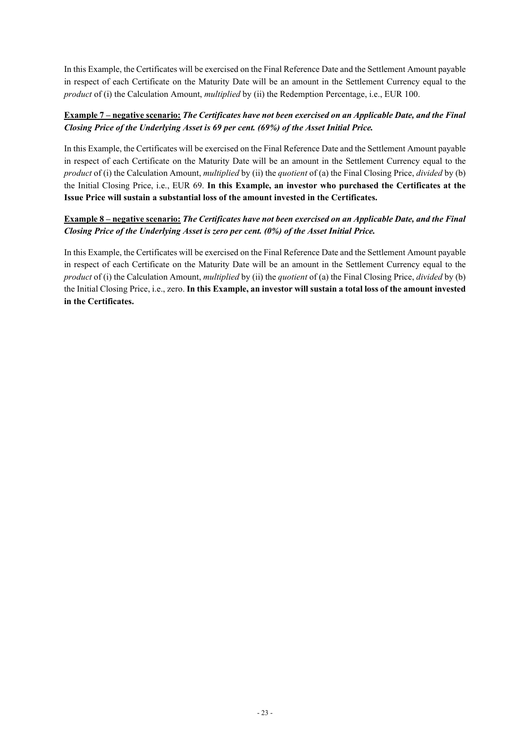In this Example, the Certificates will be exercised on the Final Reference Date and the Settlement Amount payable in respect of each Certificate on the Maturity Date will be an amount in the Settlement Currency equal to the *product* of (i) the Calculation Amount, *multiplied* by (ii) the Redemption Percentage, i.e., EUR 100.

# **Example 7 – negative scenario:** *The Certificates have not been exercised on an Applicable Date, and the Final Closing Price of the Underlying Asset is 69 per cent. (69%) of the Asset Initial Price.*

In this Example, the Certificates will be exercised on the Final Reference Date and the Settlement Amount payable in respect of each Certificate on the Maturity Date will be an amount in the Settlement Currency equal to the *product* of (i) the Calculation Amount, *multiplied* by (ii) the *quotient* of (a) the Final Closing Price, *divided* by (b) the Initial Closing Price, i.e., EUR 69. **In this Example, an investor who purchased the Certificates at the Issue Price will sustain a substantial loss of the amount invested in the Certificates.** 

# **Example 8 – negative scenario:** *The Certificates have not been exercised on an Applicable Date, and the Final Closing Price of the Underlying Asset is zero per cent. (0%) of the Asset Initial Price.*

In this Example, the Certificates will be exercised on the Final Reference Date and the Settlement Amount payable in respect of each Certificate on the Maturity Date will be an amount in the Settlement Currency equal to the *product* of (i) the Calculation Amount, *multiplied* by (ii) the *quotient* of (a) the Final Closing Price, *divided* by (b) the Initial Closing Price, i.e., zero. **In this Example, an investor will sustain a total loss of the amount invested in the Certificates.**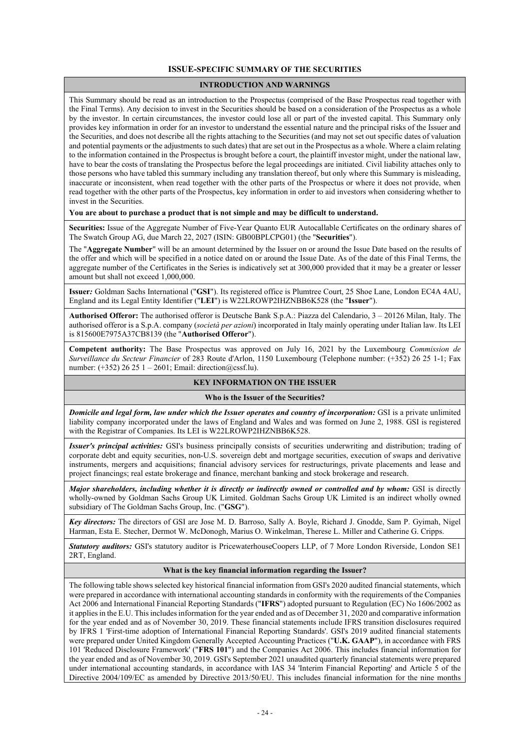## **ISSUE-SPECIFIC SUMMARY OF THE SECURITIES**

## **INTRODUCTION AND WARNINGS**

This Summary should be read as an introduction to the Prospectus (comprised of the Base Prospectus read together with the Final Terms). Any decision to invest in the Securities should be based on a consideration of the Prospectus as a whole by the investor. In certain circumstances, the investor could lose all or part of the invested capital. This Summary only provides key information in order for an investor to understand the essential nature and the principal risks of the Issuer and the Securities, and does not describe all the rights attaching to the Securities (and may not set out specific dates of valuation and potential payments or the adjustments to such dates) that are set out in the Prospectus as a whole. Where a claim relating to the information contained in the Prospectus is brought before a court, the plaintiff investor might, under the national law, have to bear the costs of translating the Prospectus before the legal proceedings are initiated. Civil liability attaches only to those persons who have tabled this summary including any translation thereof, but only where this Summary is misleading, inaccurate or inconsistent, when read together with the other parts of the Prospectus or where it does not provide, when read together with the other parts of the Prospectus, key information in order to aid investors when considering whether to invest in the Securities.

#### **You are about to purchase a product that is not simple and may be difficult to understand.**

**Securities:** Issue of the Aggregate Number of Five-Year Quanto EUR Autocallable Certificates on the ordinary shares of The Swatch Group AG, due March 22, 2027 (ISIN: GB00BPLCPG01) (the "**Securities**").

The "**Aggregate Number**" will be an amount determined by the Issuer on or around the Issue Date based on the results of the offer and which will be specified in a notice dated on or around the Issue Date. As of the date of this Final Terms, the aggregate number of the Certificates in the Series is indicatively set at 300,000 provided that it may be a greater or lesser amount but shall not exceed 1,000,000.

**Issuer***:* Goldman Sachs International ("**GSI**"). Its registered office is Plumtree Court, 25 Shoe Lane, London EC4A 4AU, England and its Legal Entity Identifier ("**LEI**") is W22LROWP2IHZNBB6K528 (the "**Issuer**").

**Authorised Offeror:** The authorised offeror is Deutsche Bank S.p.A.: Piazza del Calendario, 3 – 20126 Milan, Italy. The authorised offeror is a S.p.A. company (*società per azioni*) incorporated in Italy mainly operating under Italian law. Its LEI is 815600E7975A37CB8139 (the "**Authorised Offeror**").

**Competent authority:** The Base Prospectus was approved on July 16, 2021 by the Luxembourg *Commission de Surveillance du Secteur Financier* of 283 Route d'Arlon, 1150 Luxembourg (Telephone number: (+352) 26 25 1-1; Fax number: (+352) 26 25 1 – 2601; Email: direction@cssf.lu).

## **KEY INFORMATION ON THE ISSUER**

#### **Who is the Issuer of the Securities?**

*Domicile and legal form, law under which the Issuer operates and country of incorporation:* GSI is a private unlimited liability company incorporated under the laws of England and Wales and was formed on June 2, 1988. GSI is registered with the Registrar of Companies. Its LEI is W22LROWP2IHZNBB6K528.

*Issuer's principal activities:* GSI's business principally consists of securities underwriting and distribution; trading of corporate debt and equity securities, non-U.S. sovereign debt and mortgage securities, execution of swaps and derivative instruments, mergers and acquisitions; financial advisory services for restructurings, private placements and lease and project financings; real estate brokerage and finance, merchant banking and stock brokerage and research.

*Major shareholders, including whether it is directly or indirectly owned or controlled and by whom:* GSI is directly wholly-owned by Goldman Sachs Group UK Limited. Goldman Sachs Group UK Limited is an indirect wholly owned subsidiary of The Goldman Sachs Group, Inc. ("**GSG**").

*Key directors:* The directors of GSI are Jose M. D. Barroso, Sally A. Boyle, Richard J. Gnodde, Sam P. Gyimah, Nigel Harman, Esta E. Stecher, Dermot W. McDonogh, Marius O. Winkelman, Therese L. Miller and Catherine G. Cripps.

*Statutory auditors:* GSI's statutory auditor is PricewaterhouseCoopers LLP, of 7 More London Riverside, London SE1 2RT, England.

#### **What is the key financial information regarding the Issuer?**

The following table shows selected key historical financial information from GSI's 2020 audited financial statements, which were prepared in accordance with international accounting standards in conformity with the requirements of the Companies Act 2006 and International Financial Reporting Standards ("**IFRS**") adopted pursuant to Regulation (EC) No 1606/2002 as it applies in the E.U. This includes information for the year ended and as of December 31, 2020 and comparative information for the year ended and as of November 30, 2019. These financial statements include IFRS transition disclosures required by IFRS 1 'First-time adoption of International Financial Reporting Standards'. GSI's 2019 audited financial statements were prepared under United Kingdom Generally Accepted Accounting Practices ("**U.K. GAAP**"), in accordance with FRS 101 'Reduced Disclosure Framework' ("**FRS 101**") and the Companies Act 2006. This includes financial information for the year ended and as of November 30, 2019. GSI's September 2021 unaudited quarterly financial statements were prepared under international accounting standards, in accordance with IAS 34 'Interim Financial Reporting' and Article 5 of the Directive 2004/109/EC as amended by Directive 2013/50/EU. This includes financial information for the nine months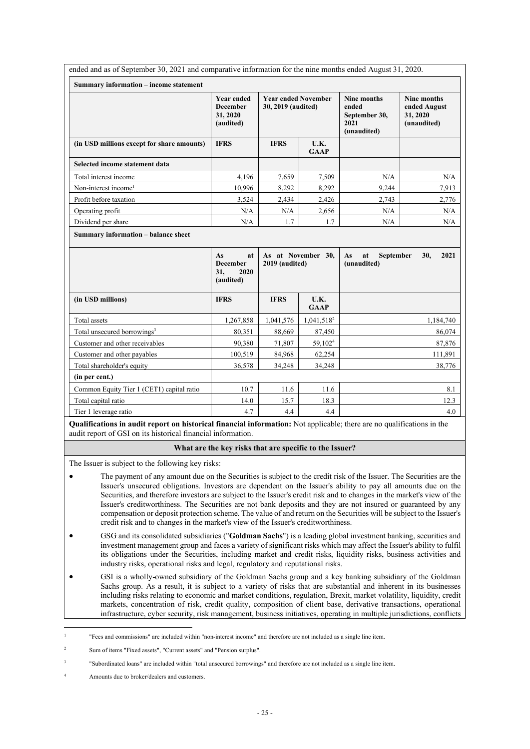| ended and as of September 30, 2021 and comparative information for the nine months ended August 31, 2020. |                                                               |                                                  |                     |                                                                     |                                                               |  |
|-----------------------------------------------------------------------------------------------------------|---------------------------------------------------------------|--------------------------------------------------|---------------------|---------------------------------------------------------------------|---------------------------------------------------------------|--|
| Summary information - income statement                                                                    |                                                               |                                                  |                     |                                                                     |                                                               |  |
|                                                                                                           | <b>Year ended</b><br><b>December</b><br>31, 2020<br>(audited) | <b>Year ended November</b><br>30, 2019 (audited) |                     | <b>Nine months</b><br>ended<br>September 30,<br>2021<br>(unaudited) | <b>Nine months</b><br>ended August<br>31, 2020<br>(unaudited) |  |
| (in USD millions except for share amounts)                                                                | <b>IFRS</b>                                                   | <b>IFRS</b>                                      | U.K.<br><b>GAAP</b> |                                                                     |                                                               |  |
| Selected income statement data                                                                            |                                                               |                                                  |                     |                                                                     |                                                               |  |
| Total interest income                                                                                     | 4,196                                                         | 7,659                                            | 7,509               | N/A                                                                 | N/A                                                           |  |
| Non-interest income <sup>1</sup>                                                                          | 10,996                                                        | 8,292                                            | 8,292               | 9,244                                                               | 7,913                                                         |  |
| Profit before taxation                                                                                    | 3,524                                                         | 2,434                                            | 2,426               | 2,743                                                               | 2,776                                                         |  |
| Operating profit                                                                                          | N/A                                                           | N/A                                              | 2,656               | N/A                                                                 | N/A                                                           |  |
| Dividend per share                                                                                        | N/A                                                           | 1.7                                              | 1.7                 | N/A                                                                 | N/A                                                           |  |
|                                                                                                           | As<br>at<br><b>December</b><br>31,<br>2020                    | 2019 (audited)                                   | As at November 30,  | As<br>at<br><b>September</b><br>(unaudited)                         | 30,<br>2021                                                   |  |
|                                                                                                           | (audited)                                                     |                                                  |                     |                                                                     |                                                               |  |
| (in USD millions)                                                                                         | <b>IFRS</b>                                                   | <b>IFRS</b>                                      | U.K.<br><b>GAAP</b> |                                                                     |                                                               |  |
| Total assets                                                                                              | 1,267,858                                                     | 1,041,576                                        | $1,041,518^2$       |                                                                     | 1,184,740                                                     |  |
| Total unsecured borrowings <sup>3</sup>                                                                   | 80,351                                                        | 88,669                                           | 87,450              |                                                                     | 86,074                                                        |  |
| Customer and other receivables                                                                            | 90,380                                                        | 71,807                                           | 59,102 <sup>4</sup> |                                                                     |                                                               |  |
| Customer and other payables                                                                               | 100,519                                                       | 84,968                                           | 62,254              |                                                                     | 87,876<br>111,891                                             |  |
| Total shareholder's equity                                                                                | 36,578                                                        | 34,248                                           | 34,248              |                                                                     | 38,776                                                        |  |
| (in per cent.)                                                                                            |                                                               |                                                  |                     |                                                                     |                                                               |  |
| Common Equity Tier 1 (CET1) capital ratio                                                                 | 10.7                                                          | 11.6                                             | 11.6                |                                                                     | 8.1                                                           |  |
| Total capital ratio                                                                                       | 14.0                                                          | 15.7                                             | 18.3                |                                                                     | 12.3                                                          |  |

**Qualifications in audit report on historical financial information:** Not applicable; there are no qualifications in the audit report of GSI on its historical financial information.

## **What are the key risks that are specific to the Issuer?**

The Issuer is subject to the following key risks:

- The payment of any amount due on the Securities is subject to the credit risk of the Issuer. The Securities are the Issuer's unsecured obligations. Investors are dependent on the Issuer's ability to pay all amounts due on the Securities, and therefore investors are subject to the Issuer's credit risk and to changes in the market's view of the Issuer's creditworthiness. The Securities are not bank deposits and they are not insured or guaranteed by any compensation or deposit protection scheme. The value of and return on the Securities will be subject to the Issuer's credit risk and to changes in the market's view of the Issuer's creditworthiness.
- GSG and its consolidated subsidiaries ("**Goldman Sachs**") is a leading global investment banking, securities and investment management group and faces a variety of significant risks which may affect the Issuer's ability to fulfil its obligations under the Securities, including market and credit risks, liquidity risks, business activities and industry risks, operational risks and legal, regulatory and reputational risks.
- GSI is a wholly-owned subsidiary of the Goldman Sachs group and a key banking subsidiary of the Goldman Sachs group. As a result, it is subject to a variety of risks that are substantial and inherent in its businesses including risks relating to economic and market conditions, regulation, Brexit, market volatility, liquidity, credit markets, concentration of risk, credit quality, composition of client base, derivative transactions, operational infrastructure, cyber security, risk management, business initiatives, operating in multiple jurisdictions, conflicts

<sup>1</sup> "Fees and commissions" are included within "non-interest income" and therefore are not included as a single line item.

<sup>2</sup> Sum of items "Fixed assets", "Current assets" and "Pension surplus".

<sup>3</sup> "Subordinated loans" are included within "total unsecured borrowings" and therefore are not included as a single line item.

<sup>4</sup> Amounts due to broker/dealers and customers.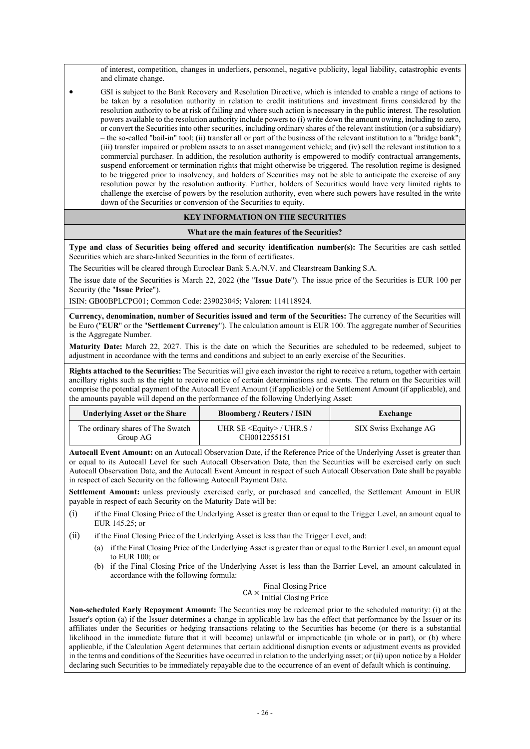of interest, competition, changes in underliers, personnel, negative publicity, legal liability, catastrophic events and climate change.

 GSI is subject to the Bank Recovery and Resolution Directive, which is intended to enable a range of actions to be taken by a resolution authority in relation to credit institutions and investment firms considered by the resolution authority to be at risk of failing and where such action is necessary in the public interest. The resolution powers available to the resolution authority include powers to (i) write down the amount owing, including to zero, or convert the Securities into other securities, including ordinary shares of the relevant institution (or a subsidiary) – the so-called "bail-in" tool; (ii) transfer all or part of the business of the relevant institution to a "bridge bank"; (iii) transfer impaired or problem assets to an asset management vehicle; and (iv) sell the relevant institution to a commercial purchaser. In addition, the resolution authority is empowered to modify contractual arrangements, suspend enforcement or termination rights that might otherwise be triggered. The resolution regime is designed to be triggered prior to insolvency, and holders of Securities may not be able to anticipate the exercise of any resolution power by the resolution authority. Further, holders of Securities would have very limited rights to challenge the exercise of powers by the resolution authority, even where such powers have resulted in the write down of the Securities or conversion of the Securities to equity.

## **KEY INFORMATION ON THE SECURITIES**

## **What are the main features of the Securities?**

**Type and class of Securities being offered and security identification number(s):** The Securities are cash settled Securities which are share-linked Securities in the form of certificates.

The Securities will be cleared through Euroclear Bank S.A./N.V. and Clearstream Banking S.A.

The issue date of the Securities is March 22, 2022 (the "**Issue Date**"). The issue price of the Securities is EUR 100 per Security (the "**Issue Price**").

ISIN: GB00BPLCPG01; Common Code: 239023045; Valoren: 114118924.

**Currency, denomination, number of Securities issued and term of the Securities:** The currency of the Securities will be Euro ("**EUR**" or the "**Settlement Currency**"). The calculation amount is EUR 100. The aggregate number of Securities is the Aggregate Number.

**Maturity Date:** March 22, 2027. This is the date on which the Securities are scheduled to be redeemed, subject to adjustment in accordance with the terms and conditions and subject to an early exercise of the Securities.

**Rights attached to the Securities:** The Securities will give each investor the right to receive a return, together with certain ancillary rights such as the right to receive notice of certain determinations and events. The return on the Securities will comprise the potential payment of the Autocall Event Amount (if applicable) or the Settlement Amount (if applicable), and the amounts payable will depend on the performance of the following Underlying Asset:

| <b>Underlying Asset or the Share</b>          | <b>Bloomberg / Reuters / ISIN</b>                | Exchange              |
|-----------------------------------------------|--------------------------------------------------|-----------------------|
| The ordinary shares of The Swatch<br>Group AG | UHR SE $\leq$ Equity > / UHR.S /<br>CH0012255151 | SIX Swiss Exchange AG |

**Autocall Event Amount:** on an Autocall Observation Date, if the Reference Price of the Underlying Asset is greater than or equal to its Autocall Level for such Autocall Observation Date, then the Securities will be exercised early on such Autocall Observation Date, and the Autocall Event Amount in respect of such Autocall Observation Date shall be payable in respect of each Security on the following Autocall Payment Date.

**Settlement Amount:** unless previously exercised early, or purchased and cancelled, the Settlement Amount in EUR payable in respect of each Security on the Maturity Date will be:

- (i) if the Final Closing Price of the Underlying Asset is greater than or equal to the Trigger Level, an amount equal to EUR 145.25; or
- (ii) if the Final Closing Price of the Underlying Asset is less than the Trigger Level, and:
	- (a) if the Final Closing Price of the Underlying Asset is greater than or equal to the Barrier Level, an amount equal to EUR 100; or
	- (b) if the Final Closing Price of the Underlying Asset is less than the Barrier Level, an amount calculated in accordance with the following formula:

# $CA \times \frac{\text{Final Closing Price}}{\text{Initial Closing Price}}$ Initial Closing Price

**Non-scheduled Early Repayment Amount:** The Securities may be redeemed prior to the scheduled maturity: (i) at the Issuer's option (a) if the Issuer determines a change in applicable law has the effect that performance by the Issuer or its affiliates under the Securities or hedging transactions relating to the Securities has become (or there is a substantial likelihood in the immediate future that it will become) unlawful or impracticable (in whole or in part), or (b) where applicable, if the Calculation Agent determines that certain additional disruption events or adjustment events as provided in the terms and conditions of the Securities have occurred in relation to the underlying asset; or (ii) upon notice by a Holder declaring such Securities to be immediately repayable due to the occurrence of an event of default which is continuing.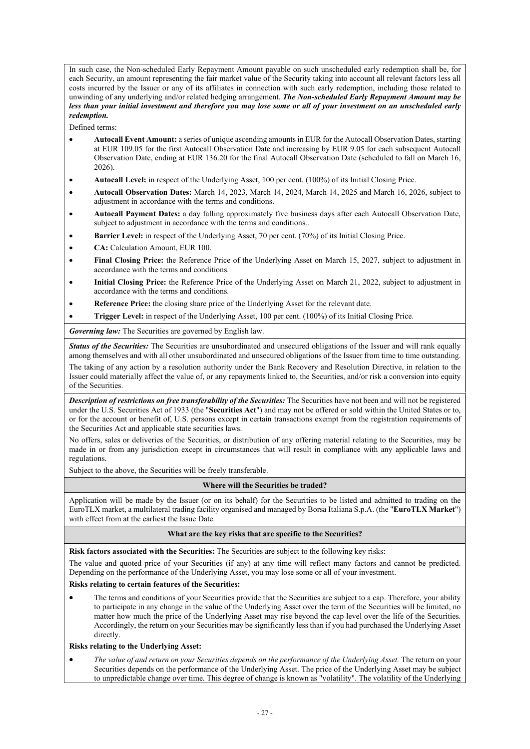In such case, the Non-scheduled Early Repayment Amount payable on such unscheduled early redemption shall be, for each Security, an amount representing the fair market value of the Security taking into account all relevant factors less all costs incurred by the Issuer or any of its affiliates in connection with such early redemption, including those related to unwinding of any underlying and/or related hedging arrangement. *The Non-scheduled Early Repayment Amount may be less than your initial investment and therefore you may lose some or all of your investment on an unscheduled early redemption.*

Defined terms:

- **Autocall Event Amount:** a series of unique ascending amounts in EUR for the Autocall Observation Dates, starting at EUR 109.05 for the first Autocall Observation Date and increasing by EUR 9.05 for each subsequent Autocall Observation Date, ending at EUR 136.20 for the final Autocall Observation Date (scheduled to fall on March 16, 2026).
- **Autocall Level:** in respect of the Underlying Asset, 100 per cent. (100%) of its Initial Closing Price.
- **Autocall Observation Dates:** March 14, 2023, March 14, 2024, March 14, 2025 and March 16, 2026, subject to adjustment in accordance with the terms and conditions.
- **Autocall Payment Dates:** a day falling approximately five business days after each Autocall Observation Date, subject to adjustment in accordance with the terms and conditions..
- **Barrier Level:** in respect of the Underlying Asset, 70 per cent. (70%) of its Initial Closing Price.
- **CA:** Calculation Amount, EUR 100.
- **Final Closing Price:** the Reference Price of the Underlying Asset on March 15, 2027, subject to adjustment in accordance with the terms and conditions.
- **Initial Closing Price:** the Reference Price of the Underlying Asset on March 21, 2022, subject to adjustment in accordance with the terms and conditions.
- **Reference Price:** the closing share price of the Underlying Asset for the relevant date.
- **Trigger Level:** in respect of the Underlying Asset, 100 per cent. (100%) of its Initial Closing Price.

*Governing law:* The Securities are governed by English law.

*Status of the Securities:* The Securities are unsubordinated and unsecured obligations of the Issuer and will rank equally among themselves and with all other unsubordinated and unsecured obligations of the Issuer from time to time outstanding.

The taking of any action by a resolution authority under the Bank Recovery and Resolution Directive, in relation to the Issuer could materially affect the value of, or any repayments linked to, the Securities, and/or risk a conversion into equity of the Securities.

*Description of restrictions on free transferability of the Securities:* The Securities have not been and will not be registered under the U.S. Securities Act of 1933 (the "**Securities Act**") and may not be offered or sold within the United States or to, or for the account or benefit of, U.S. persons except in certain transactions exempt from the registration requirements of the Securities Act and applicable state securities laws.

No offers, sales or deliveries of the Securities, or distribution of any offering material relating to the Securities, may be made in or from any jurisdiction except in circumstances that will result in compliance with any applicable laws and regulations.

Subject to the above, the Securities will be freely transferable.

## **Where will the Securities be traded?**

Application will be made by the Issuer (or on its behalf) for the Securities to be listed and admitted to trading on the EuroTLX market, a multilateral trading facility organised and managed by Borsa Italiana S.p.A. (the "**EuroTLX Market**") with effect from at the earliest the Issue Date.

#### **What are the key risks that are specific to the Securities?**

**Risk factors associated with the Securities:** The Securities are subject to the following key risks:

The value and quoted price of your Securities (if any) at any time will reflect many factors and cannot be predicted. Depending on the performance of the Underlying Asset, you may lose some or all of your investment.

## **Risks relating to certain features of the Securities:**

 The terms and conditions of your Securities provide that the Securities are subject to a cap. Therefore, your ability to participate in any change in the value of the Underlying Asset over the term of the Securities will be limited, no matter how much the price of the Underlying Asset may rise beyond the cap level over the life of the Securities. Accordingly, the return on your Securities may be significantly less than if you had purchased the Underlying Asset directly.

## **Risks relating to the Underlying Asset:**

 *The value of and return on your Securities depends on the performance of the Underlying Asset.* The return on your Securities depends on the performance of the Underlying Asset. The price of the Underlying Asset may be subject to unpredictable change over time. This degree of change is known as "volatility". The volatility of the Underlying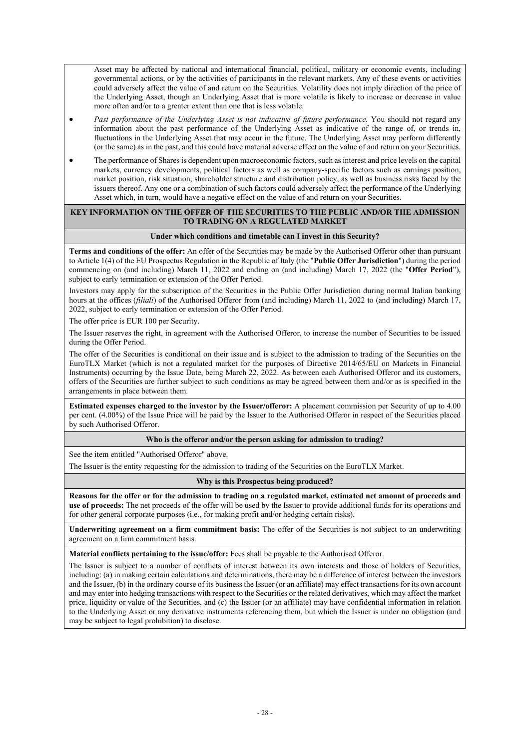Asset may be affected by national and international financial, political, military or economic events, including governmental actions, or by the activities of participants in the relevant markets. Any of these events or activities could adversely affect the value of and return on the Securities. Volatility does not imply direction of the price of the Underlying Asset, though an Underlying Asset that is more volatile is likely to increase or decrease in value more often and/or to a greater extent than one that is less volatile.

- *Past performance of the Underlying Asset is not indicative of future performance.* You should not regard any information about the past performance of the Underlying Asset as indicative of the range of, or trends in, fluctuations in the Underlying Asset that may occur in the future. The Underlying Asset may perform differently (or the same) as in the past, and this could have material adverse effect on the value of and return on your Securities.
- The performance of Shares is dependent upon macroeconomic factors, such as interest and price levels on the capital markets, currency developments, political factors as well as company-specific factors such as earnings position, market position, risk situation, shareholder structure and distribution policy, as well as business risks faced by the issuers thereof. Any one or a combination of such factors could adversely affect the performance of the Underlying Asset which, in turn, would have a negative effect on the value of and return on your Securities.

## **KEY INFORMATION ON THE OFFER OF THE SECURITIES TO THE PUBLIC AND/OR THE ADMISSION TO TRADING ON A REGULATED MARKET**

## **Under which conditions and timetable can I invest in this Security?**

**Terms and conditions of the offer:** An offer of the Securities may be made by the Authorised Offeror other than pursuant to Article 1(4) of the EU Prospectus Regulation in the Republic of Italy (the "**Public Offer Jurisdiction**") during the period commencing on (and including) March 11, 2022 and ending on (and including) March 17, 2022 (the "**Offer Period**"), subject to early termination or extension of the Offer Period.

Investors may apply for the subscription of the Securities in the Public Offer Jurisdiction during normal Italian banking hours at the offices (*filiali*) of the Authorised Offeror from (and including) March 11, 2022 to (and including) March 17, 2022, subject to early termination or extension of the Offer Period.

The offer price is EUR 100 per Security.

The Issuer reserves the right, in agreement with the Authorised Offeror, to increase the number of Securities to be issued during the Offer Period.

The offer of the Securities is conditional on their issue and is subject to the admission to trading of the Securities on the EuroTLX Market (which is not a regulated market for the purposes of Directive 2014/65/EU on Markets in Financial Instruments) occurring by the Issue Date, being March 22, 2022. As between each Authorised Offeror and its customers, offers of the Securities are further subject to such conditions as may be agreed between them and/or as is specified in the arrangements in place between them.

**Estimated expenses charged to the investor by the Issuer/offeror:** A placement commission per Security of up to 4.00 per cent. (4.00%) of the Issue Price will be paid by the Issuer to the Authorised Offeror in respect of the Securities placed by such Authorised Offeror.

## **Who is the offeror and/or the person asking for admission to trading?**

See the item entitled "Authorised Offeror" above.

The Issuer is the entity requesting for the admission to trading of the Securities on the EuroTLX Market.

#### **Why is this Prospectus being produced?**

**Reasons for the offer or for the admission to trading on a regulated market, estimated net amount of proceeds and use of proceeds:** The net proceeds of the offer will be used by the Issuer to provide additional funds for its operations and for other general corporate purposes (i.e., for making profit and/or hedging certain risks).

**Underwriting agreement on a firm commitment basis:** The offer of the Securities is not subject to an underwriting agreement on a firm commitment basis.

**Material conflicts pertaining to the issue/offer:** Fees shall be payable to the Authorised Offeror.

The Issuer is subject to a number of conflicts of interest between its own interests and those of holders of Securities, including: (a) in making certain calculations and determinations, there may be a difference of interest between the investors and the Issuer, (b) in the ordinary course of its business the Issuer (or an affiliate) may effect transactions for its own account and may enter into hedging transactions with respect to the Securities or the related derivatives, which may affect the market price, liquidity or value of the Securities, and (c) the Issuer (or an affiliate) may have confidential information in relation to the Underlying Asset or any derivative instruments referencing them, but which the Issuer is under no obligation (and may be subject to legal prohibition) to disclose.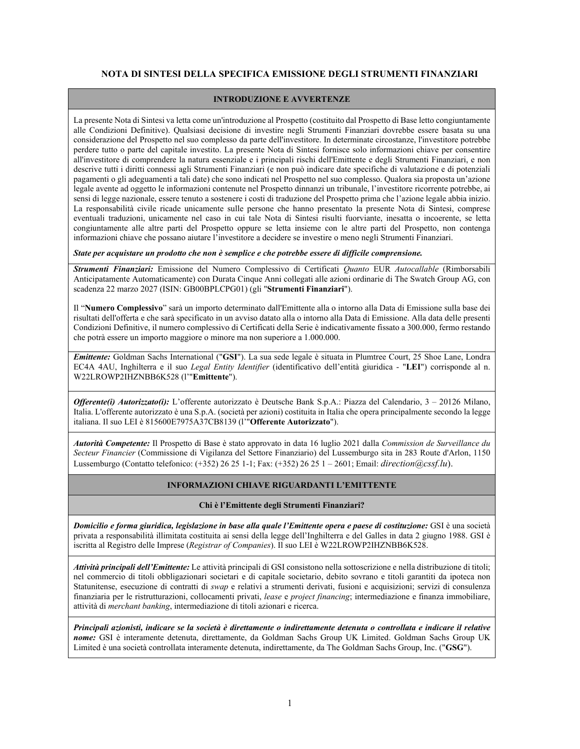## **NOTA DI SINTESI DELLA SPECIFICA EMISSIONE DEGLI STRUMENTI FINANZIARI**

## **INTRODUZIONE E AVVERTENZE**

La presente Nota di Sintesi va letta come un'introduzione al Prospetto (costituito dal Prospetto di Base letto congiuntamente alle Condizioni Definitive). Qualsiasi decisione di investire negli Strumenti Finanziari dovrebbe essere basata su una considerazione del Prospetto nel suo complesso da parte dell'investitore. In determinate circostanze, l'investitore potrebbe perdere tutto o parte del capitale investito. La presente Nota di Sintesi fornisce solo informazioni chiave per consentire all'investitore di comprendere la natura essenziale e i principali rischi dell'Emittente e degli Strumenti Finanziari, e non descrive tutti i diritti connessi agli Strumenti Finanziari (e non può indicare date specifiche di valutazione e di potenziali pagamenti o gli adeguamenti a tali date) che sono indicati nel Prospetto nel suo complesso. Qualora sia proposta un'azione legale avente ad oggetto le informazioni contenute nel Prospetto dinnanzi un tribunale, l'investitore ricorrente potrebbe, ai sensi di legge nazionale, essere tenuto a sostenere i costi di traduzione del Prospetto prima che l'azione legale abbia inizio. La responsabilità civile ricade unicamente sulle persone che hanno presentato la presente Nota di Sintesi, comprese eventuali traduzioni, unicamente nel caso in cui tale Nota di Sintesi risulti fuorviante, inesatta o incoerente, se letta congiuntamente alle altre parti del Prospetto oppure se letta insieme con le altre parti del Prospetto, non contenga informazioni chiave che possano aiutare l'investitore a decidere se investire o meno negli Strumenti Finanziari.

*State per acquistare un prodotto che non è semplice e che potrebbe essere di difficile comprensione.*

*Strumenti Finanziari:* Emissione del Numero Complessivo di Certificati *Quanto* EUR *Autocallable* (Rimborsabili Anticipatamente Automaticamente) con Durata Cinque Anni collegati alle azioni ordinarie di The Swatch Group AG, con scadenza 22 marzo 2027 (ISIN: GB00BPLCPG01) (gli "**Strumenti Finanziari**").

Il "**Numero Complessivo**" sarà un importo determinato dall'Emittente alla o intorno alla Data di Emissione sulla base dei risultati dell'offerta e che sarà specificato in un avviso datato alla o intorno alla Data di Emissione. Alla data delle presenti Condizioni Definitive, il numero complessivo di Certificati della Serie è indicativamente fissato a 300.000, fermo restando che potrà essere un importo maggiore o minore ma non superiore a 1.000.000.

*Emittente:* Goldman Sachs International ("**GSI**"). La sua sede legale è situata in Plumtree Court, 25 Shoe Lane, Londra EC4A 4AU, Inghilterra e il suo *Legal Entity Identifier* (identificativo dell'entità giuridica - "**LEI**") corrisponde al n. W22LROWP2IHZNBB6K528 (l'"**Emittente**").

*Offerente(i) Autorizzato(i):* L'offerente autorizzato è Deutsche Bank S.p.A.: Piazza del Calendario, 3 – 20126 Milano, Italia. L'offerente autorizzato è una S.p.A. (società per azioni) costituita in Italia che opera principalmente secondo la legge italiana. Il suo LEI è 815600E7975A37CB8139 (l'"**Offerente Autorizzato**").

*Autorità Competente:* Il Prospetto di Base è stato approvato in data 16 luglio 2021 dalla *Commission de Surveillance du Secteur Financier* (Commissione di Vigilanza del Settore Finanziario) del Lussemburgo sita in 283 Route d'Arlon, 1150 Lussemburgo (Contatto telefonico: (+352) 26 25 1-1; Fax: (+352) 26 25 1 – 2601; Email: *[direction@cssf.lu](mailto:direction@cssf.lu).)*).

## **INFORMAZIONI CHIAVE RIGUARDANTI L'EMITTENTE**

## **Chi è l'Emittente degli Strumenti Finanziari?**

*Domicilio e forma giuridica, legislazione in base alla quale l'Emittente opera e paese di costituzione:* GSI è una società privata a responsabilità illimitata costituita ai sensi della legge dell'Inghilterra e del Galles in data 2 giugno 1988. GSI è iscritta al Registro delle Imprese (*Registrar of Companies*). Il suo LEI è W22LROWP2IHZNBB6K528.

*Attività principali dell'Emittente:* Le attività principali di GSI consistono nella sottoscrizione e nella distribuzione di titoli; nel commercio di titoli obbligazionari societari e di capitale societario, debito sovrano e titoli garantiti da ipoteca non Statunitense, esecuzione di contratti di *swap* e relativi a strumenti derivati, fusioni e acquisizioni; servizi di consulenza finanziaria per le ristrutturazioni, collocamenti privati, *lease* e *project financing*; intermediazione e finanza immobiliare, attività di *merchant banking*, intermediazione di titoli azionari e ricerca.

*Principali azionisti, indicare se la società è direttamente o indirettamente detenuta o controllata e indicare il relative nome:* GSI è interamente detenuta, direttamente, da Goldman Sachs Group UK Limited. Goldman Sachs Group UK Limited è una società controllata interamente detenuta, indirettamente, da The Goldman Sachs Group, Inc. ("**GSG**").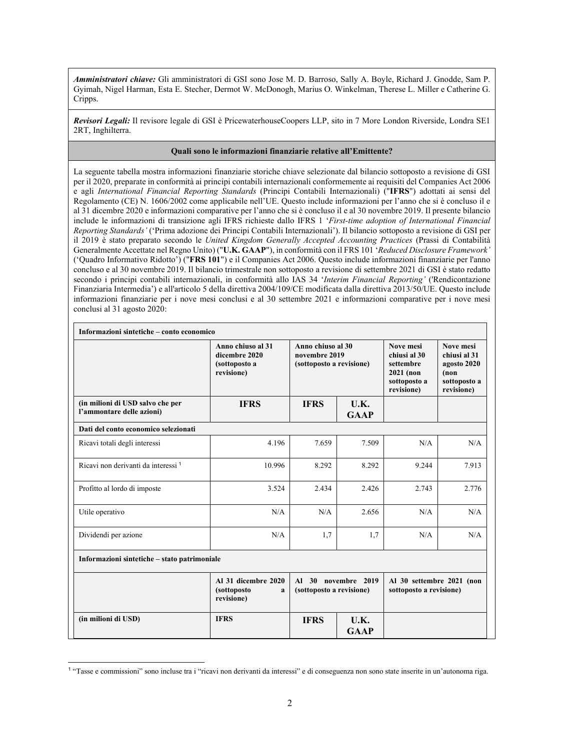*Amministratori chiave:* Gli amministratori di GSI sono Jose M. D. Barroso, Sally A. Boyle, Richard J. Gnodde, Sam P. Gyimah, Nigel Harman, Esta E. Stecher, Dermot W. McDonogh, Marius O. Winkelman, Therese L. Miller e Catherine G. Cripps.

*Revisori Legali:* Il revisore legale di GSI è PricewaterhouseCoopers LLP, sito in 7 More London Riverside, Londra SE1 2RT, Inghilterra.

#### **Quali sono le informazioni finanziarie relative all'Emittente?**

La seguente tabella mostra informazioni finanziarie storiche chiave selezionate dal bilancio sottoposto a revisione di GSI per il 2020, preparate in conformità ai principi contabili internazionali conformemente ai requisiti del Companies Act 2006 e agli *International Financial Reporting Standards* (Principi Contabili Internazionali) ("**IFRS**") adottati ai sensi del Regolamento (CE) N. 1606/2002 come applicabile nell'UE. Questo include informazioni per l'anno che si è concluso il e al 31 dicembre 2020 e informazioni comparative per l'anno che si è concluso il e al 30 novembre 2019. Il presente bilancio include le informazioni di transizione agli IFRS richieste dallo IFRS 1 '*First-time adoption of International Financial Reporting Standards'* ('Prima adozione dei Principi Contabili Internazionali'). Il bilancio sottoposto a revisione di GSI per il 2019 è stato preparato secondo le *United Kingdom Generally Accepted Accounting Practices* (Prassi di Contabilità Generalmente Accettate nel Regno Unito) ("**U.K. GAAP**"), in conformità con il FRS 101 '*Reduced Disclosure Framework'* ('Quadro Informativo Ridotto') ("**FRS 101**") e il Companies Act 2006. Questo include informazioni finanziarie per l'anno concluso e al 30 novembre 2019. Il bilancio trimestrale non sottoposto a revisione di settembre 2021 di GSI è stato redatto secondo i principi contabili internazionali, in conformità allo IAS 34 '*Interim Financial Reporting'* ('Rendicontazione Finanziaria Intermedia') e all'articolo 5 della direttiva 2004/109/CE modificata dalla direttiva 2013/50/UE. Questo include informazioni finanziarie per i nove mesi conclusi e al 30 settembre 2021 e informazioni comparative per i nove mesi conclusi al 31 agosto 2020:

| Informazioni sintetiche – conto economico                     | Anno chiuso al 31<br>dicembre 2020<br>(sottoposto a<br>revisione) | Anno chiuso al 30<br>novembre 2019<br>(sottoposto a revisione) |                     | Nove mesi<br>chiusi al 30<br>settembre<br>$2021$ (non<br>sottoposto a<br>revisione) | Nove mesi<br>chiusi al 31<br>agosto 2020<br>(non<br>sottoposto a<br>revisione) |  |
|---------------------------------------------------------------|-------------------------------------------------------------------|----------------------------------------------------------------|---------------------|-------------------------------------------------------------------------------------|--------------------------------------------------------------------------------|--|
| (in milioni di USD salvo che per<br>l'ammontare delle azioni) | <b>IFRS</b>                                                       | <b>IFRS</b>                                                    | U.K.<br><b>GAAP</b> |                                                                                     |                                                                                |  |
| Dati del conto economico selezionati                          |                                                                   |                                                                |                     |                                                                                     |                                                                                |  |
| Ricavi totali degli interessi                                 | 4.196                                                             | 7.659                                                          | 7.509               | N/A                                                                                 | N/A                                                                            |  |
| Ricavi non derivanti da interessi <sup>1</sup>                | 10.996                                                            | 8.292                                                          | 8.292               | 9.244                                                                               | 7.913                                                                          |  |
| Profitto al lordo di imposte                                  | 3.524                                                             | 2.434                                                          | 2.426               | 2.743                                                                               | 2.776                                                                          |  |
| Utile operativo                                               | N/A                                                               | N/A                                                            | 2.656               | N/A                                                                                 | N/A                                                                            |  |
| Dividendi per azione                                          | N/A                                                               | 1,7                                                            | 1.7                 | N/A                                                                                 | N/A                                                                            |  |
| Informazioni sintetiche - stato patrimoniale                  |                                                                   |                                                                |                     |                                                                                     |                                                                                |  |
|                                                               | Al 31 dicembre 2020<br><i>(sottoposto)</i><br>a<br>revisione)     | (sottoposto a revisione)                                       | Al 30 novembre 2019 | Al 30 settembre 2021 (non<br>sottoposto a revisione)                                |                                                                                |  |
| (in milioni di USD)                                           | <b>IFRS</b>                                                       | <b>IFRS</b>                                                    | U.K.<br><b>GAAP</b> |                                                                                     |                                                                                |  |

<sup>1</sup> "Tasse e commissioni" sono incluse tra i "ricavi non derivanti da interessi" e di conseguenza non sono state inserite in un'autonoma riga.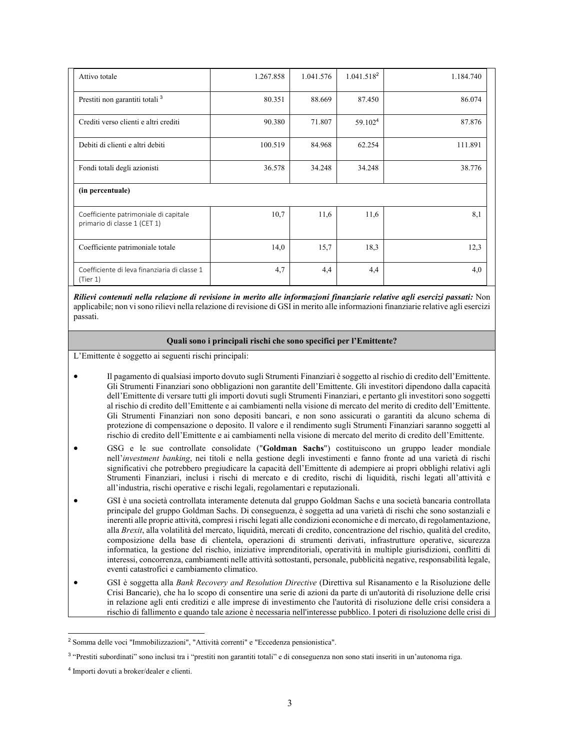| Attivo totale                                                         | 1.267.858 | 1.041.576 | 1.041.518 <sup>2</sup> | 1.184.740 |
|-----------------------------------------------------------------------|-----------|-----------|------------------------|-----------|
| Prestiti non garantiti totali <sup>3</sup>                            | 80.351    | 88.669    | 87.450                 | 86.074    |
| Crediti verso clienti e altri crediti                                 | 90.380    | 71.807    | 59.1024                | 87.876    |
| Debiti di clienti e altri debiti                                      | 100.519   | 84.968    | 62.254                 | 111.891   |
| Fondi totali degli azionisti                                          | 36.578    | 34.248    | 34.248                 | 38.776    |
| (in percentuale)                                                      |           |           |                        |           |
| Coefficiente patrimoniale di capitale<br>primario di classe 1 (CET 1) | 10,7      | 11,6      | 11,6                   | 8,1       |
| Coefficiente patrimoniale totale                                      | 14,0      | 15,7      | 18.3                   | 12,3      |
| Coefficiente di leva finanziaria di classe 1<br>(Tier 1)              | 4,7       | 4,4       | 4,4                    | 4,0       |

*Rilievi contenuti nella relazione di revisione in merito alle informazioni finanziarie relative agli esercizi passati:* Non applicabile; non vi sono rilievi nella relazione di revisione di GSI in merito alle informazioni finanziarie relative agli esercizi passati.

#### **Quali sono i principali rischi che sono specifici per l'Emittente?**

L'Emittente è soggetto ai seguenti rischi principali:

- Il pagamento di qualsiasi importo dovuto sugli Strumenti Finanziari è soggetto al rischio di credito dell'Emittente. Gli Strumenti Finanziari sono obbligazioni non garantite dell'Emittente. Gli investitori dipendono dalla capacità dell'Emittente di versare tutti gli importi dovuti sugli Strumenti Finanziari, e pertanto gli investitori sono soggetti al rischio di credito dell'Emittente e ai cambiamenti nella visione di mercato del merito di credito dell'Emittente. Gli Strumenti Finanziari non sono depositi bancari, e non sono assicurati o garantiti da alcuno schema di protezione di compensazione o deposito. Il valore e il rendimento sugli Strumenti Finanziari saranno soggetti al rischio di credito dell'Emittente e ai cambiamenti nella visione di mercato del merito di credito dell'Emittente.
- GSG e le sue controllate consolidate ("**Goldman Sachs**") costituiscono un gruppo leader mondiale nell'*investment banking*, nei titoli e nella gestione degli investimenti e fanno fronte ad una varietà di rischi significativi che potrebbero pregiudicare la capacità dell'Emittente di adempiere ai propri obblighi relativi agli Strumenti Finanziari, inclusi i rischi di mercato e di credito, rischi di liquidità, rischi legati all'attività e all'industria, rischi operative e rischi legali, regolamentari e reputazionali.
- GSI è una società controllata interamente detenuta dal gruppo Goldman Sachs e una società bancaria controllata principale del gruppo Goldman Sachs. Di conseguenza, è soggetta ad una varietà di rischi che sono sostanziali e inerenti alle proprie attività, compresi i rischi legati alle condizioni economiche e di mercato, di regolamentazione, alla *Brexit*, alla volatilità del mercato, liquidità, mercati di credito, concentrazione del rischio, qualità del credito, composizione della base di clientela, operazioni di strumenti derivati, infrastrutture operative, sicurezza informatica, la gestione del rischio, iniziative imprenditoriali, operatività in multiple giurisdizioni, conflitti di interessi, concorrenza, cambiamenti nelle attività sottostanti, personale, pubblicità negative, responsabilità legale, eventi catastrofici e cambiamento climatico.
- GSI è soggetta alla *Bank Recovery and Resolution Directive* (Direttiva sul Risanamento e la Risoluzione delle Crisi Bancarie), che ha lo scopo di consentire una serie di azioni da parte di un'autorità di risoluzione delle crisi in relazione agli enti creditizi e alle imprese di investimento che l'autorità di risoluzione delle crisi considera a rischio di fallimento e quando tale azione è necessaria nell'interesse pubblico. I poteri di risoluzione delle crisi di

<sup>2</sup> Somma delle voci "Immobilizzazioni", "Attività correnti" e "Eccedenza pensionistica".

<sup>3</sup> "Prestiti subordinati" sono inclusi tra i "prestiti non garantiti totali" e di conseguenza non sono stati inseriti in un'autonoma riga.

<sup>4</sup> Importi dovuti a broker/dealer e clienti.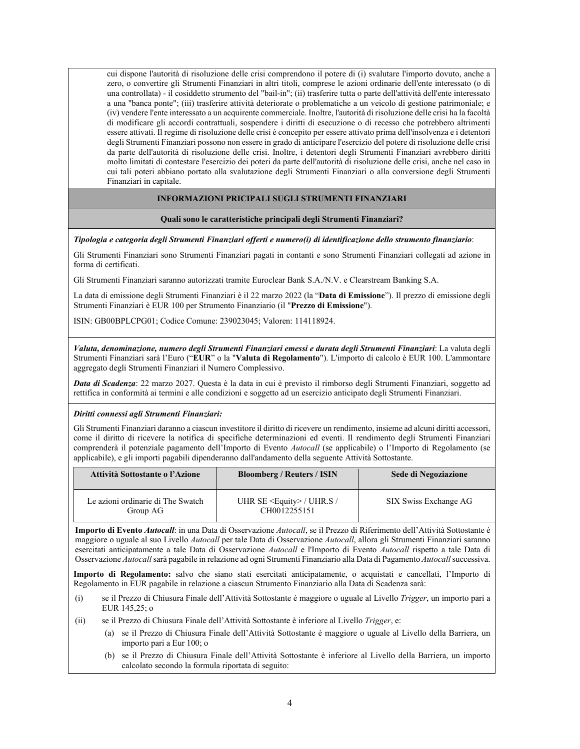cui dispone l'autorità di risoluzione delle crisi comprendono il potere di (i) svalutare l'importo dovuto, anche a zero, o convertire gli Strumenti Finanziari in altri titoli, comprese le azioni ordinarie dell'ente interessato (o di una controllata) - il cosiddetto strumento del "bail-in"; (ii) trasferire tutta o parte dell'attività dell'ente interessato a una "banca ponte"; (iii) trasferire attività deteriorate o problematiche a un veicolo di gestione patrimoniale; e (iv) vendere l'ente interessato a un acquirente commerciale. Inoltre, l'autorità di risoluzione delle crisi ha la facoltà di modificare gli accordi contrattuali, sospendere i diritti di esecuzione o di recesso che potrebbero altrimenti essere attivati. Il regime di risoluzione delle crisi è concepito per essere attivato prima dell'insolvenza e i detentori degli Strumenti Finanziari possono non essere in grado di anticipare l'esercizio del potere di risoluzione delle crisi da parte dell'autorità di risoluzione delle crisi. Inoltre, i detentori degli Strumenti Finanziari avrebbero diritti molto limitati di contestare l'esercizio dei poteri da parte dell'autorità di risoluzione delle crisi, anche nel caso in cui tali poteri abbiano portato alla svalutazione degli Strumenti Finanziari o alla conversione degli Strumenti Finanziari in capitale.

## **INFORMAZIONI PRICIPALI SUGLI STRUMENTI FINANZIARI**

#### **Quali sono le caratteristiche principali degli Strumenti Finanziari?**

*Tipologia e categoria degli Strumenti Finanziari offerti e numero(i) di identificazione dello strumento finanziario*:

Gli Strumenti Finanziari sono Strumenti Finanziari pagati in contanti e sono Strumenti Finanziari collegati ad azione in forma di certificati.

Gli Strumenti Finanziari saranno autorizzati tramite Euroclear Bank S.A./N.V. e Clearstream Banking S.A.

La data di emissione degli Strumenti Finanziari è il 22 marzo 2022 (la "**Data di Emissione**"). Il prezzo di emissione degli Strumenti Finanziari è EUR 100 per Strumento Finanziario (il "**Prezzo di Emissione**").

ISIN: GB00BPLCPG01; Codice Comune: 239023045; Valoren: 114118924.

*Valuta, denominazione, numero degli Strumenti Finanziari emessi e durata degli Strumenti Finanziari*: La valuta degli Strumenti Finanziari sarà l'Euro ("**EUR**" o la "**Valuta di Regolamento**"). L'importo di calcolo è EUR 100. L'ammontare aggregato degli Strumenti Finanziari il Numero Complessivo.

*Data di Scadenza*: 22 marzo 2027. Questa è la data in cui è previsto il rimborso degli Strumenti Finanziari, soggetto ad rettifica in conformità ai termini e alle condizioni e soggetto ad un esercizio anticipato degli Strumenti Finanziari.

#### *Diritti connessi agli Strumenti Finanziari:*

Gli Strumenti Finanziari daranno a ciascun investitore il diritto di ricevere un rendimento, insieme ad alcuni diritti accessori, come il diritto di ricevere la notifica di specifiche determinazioni ed eventi. Il rendimento degli Strumenti Finanziari comprenderà il potenziale pagamento dell'Importo di Evento *Autocall* (se applicabile) o l'Importo di Regolamento (se applicabile), e gli importi pagabili dipenderanno dall'andamento della seguente Attività Sottostante.

| Attività Sottostante o l'Azione               | <b>Bloomberg / Reuters / ISIN</b>                  | Sede di Negoziazione  |
|-----------------------------------------------|----------------------------------------------------|-----------------------|
| Le azioni ordinarie di The Swatch<br>Group AG | UHR SE $\leq$ Equity $>$ / UHR.S /<br>CH0012255151 | SIX Swiss Exchange AG |

**Importo di Evento** *Autocall*: in una Data di Osservazione *Autocall*, se il Prezzo di Riferimento dell'Attività Sottostante è maggiore o uguale al suo Livello *Autocall* per tale Data di Osservazione *Autocall*, allora gli Strumenti Finanziari saranno esercitati anticipatamente a tale Data di Osservazione *Autocall* e l'Importo di Evento *Autocall* rispetto a tale Data di Osservazione *Autocall* sarà pagabile in relazione ad ogni Strumenti Finanziario alla Data di Pagamento *Autocall* successiva.

**Importo di Regolamento:** salvo che siano stati esercitati anticipatamente, o acquistati e cancellati, l'Importo di Regolamento in EUR pagabile in relazione a ciascun Strumento Finanziario alla Data di Scadenza sarà:

- (i) se il Prezzo di Chiusura Finale dell'Attività Sottostante è maggiore o uguale al Livello *Trigger*, un importo pari a EUR 145,25; o
- (ii) se il Prezzo di Chiusura Finale dell'Attività Sottostante è inferiore al Livello *Trigger*, e:
	- (a) se il Prezzo di Chiusura Finale dell'Attività Sottostante è maggiore o uguale al Livello della Barriera, un importo pari a Eur 100; o
	- (b) se il Prezzo di Chiusura Finale dell'Attività Sottostante è inferiore al Livello della Barriera, un importo calcolato secondo la formula riportata di seguito: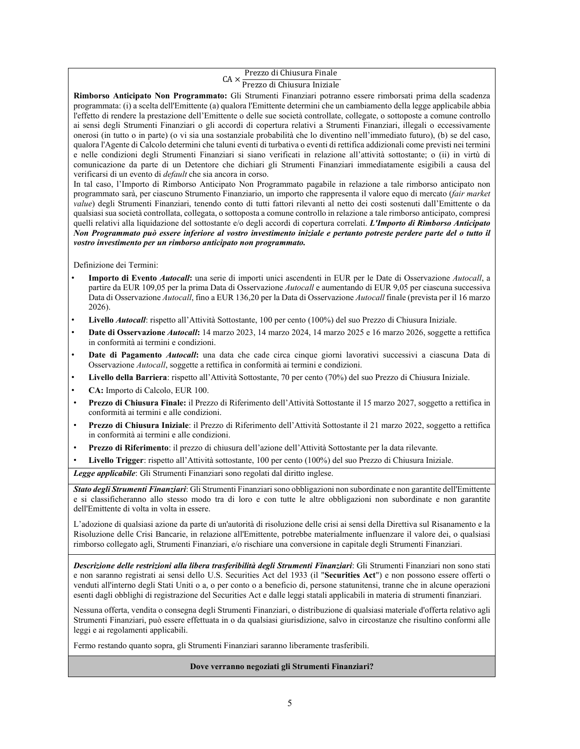# CA × Prezzo di Chiusura Finale<br>CA × Prezzo di Chiusura Iniziale

Prezzo di Chiusura Iniziale **Rimborso Anticipato Non Programmato:** Gli Strumenti Finanziari potranno essere rimborsati prima della scadenza programmata: (i) a scelta dell'Emittente (a) qualora l'Emittente determini che un cambiamento della legge applicabile abbia l'effetto di rendere la prestazione dell'Emittente o delle sue società controllate, collegate, o sottoposte a comune controllo ai sensi degli Strumenti Finanziari o gli accordi di copertura relativi a Strumenti Finanziari, illegali o eccessivamente onerosi (in tutto o in parte) (o vi sia una sostanziale probabilità che lo diventino nell'immediato futuro), (b) se del caso, qualora l'Agente di Calcolo determini che taluni eventi di turbativa o eventi di rettifica addizionali come previsti nei termini e nelle condizioni degli Strumenti Finanziari si siano verificati in relazione all'attività sottostante; o (ii) in virtù di comunicazione da parte di un Detentore che dichiari gli Strumenti Finanziari immediatamente esigibili a causa del verificarsi di un evento di *default* che sia ancora in corso.

In tal caso, l'Importo di Rimborso Anticipato Non Programmato pagabile in relazione a tale rimborso anticipato non programmato sarà, per ciascuno Strumento Finanziario, un importo che rappresenta il valore equo di mercato (*fair market value*) degli Strumenti Finanziari, tenendo conto di tutti fattori rilevanti al netto dei costi sostenuti dall'Emittente o da qualsiasi sua società controllata, collegata, o sottoposta a comune controllo in relazione a tale rimborso anticipato, compresi quelli relativi alla liquidazione del sottostante e/o degli accordi di copertura correlati. *L'Importo di Rimborso Anticipato Non Programmato può essere inferiore al vostro investimento iniziale e pertanto potreste perdere parte del o tutto il vostro investimento per un rimborso anticipato non programmato.* 

Definizione dei Termini:

- **Importo di Evento** *Autocall***:** una serie di importi unici ascendenti in EUR per le Date di Osservazione *Autocall*, a partire da EUR 109,05 per la prima Data di Osservazione *Autocall* e aumentando di EUR 9,05 per ciascuna successiva Data di Osservazione *Autocall*, fino a EUR 136,20 per la Data di Osservazione *Autocall* finale (prevista per il 16 marzo 2026).
- **Livello** *Autocall*: rispetto all'Attività Sottostante, 100 per cento (100%) del suo Prezzo di Chiusura Iniziale.
- **Date di Osservazione** *Autocall***:** 14 marzo 2023, 14 marzo 2024, 14 marzo 2025 e 16 marzo 2026, soggette a rettifica in conformità ai termini e condizioni.
- **Date di Pagamento** *Autocall***:** una data che cade circa cinque giorni lavorativi successivi a ciascuna Data di Osservazione *Autocall*, soggette a rettifica in conformità ai termini e condizioni.
- **Livello della Barriera**: rispetto all'Attività Sottostante, 70 per cento (70%) del suo Prezzo di Chiusura Iniziale.
- **CA:** Importo di Calcolo, EUR 100.
- **Prezzo di Chiusura Finale:** il Prezzo di Riferimento dell'Attività Sottostante il 15 marzo 2027, soggetto a rettifica in conformità ai termini e alle condizioni.
- **Prezzo di Chiusura Iniziale**: il Prezzo di Riferimento dell'Attività Sottostante il 21 marzo 2022, soggetto a rettifica in conformità ai termini e alle condizioni.
- **Prezzo di Riferimento**: il prezzo di chiusura dell'azione dell'Attività Sottostante per la data rilevante.
- **Livello Trigger**: rispetto all'Attività sottostante, 100 per cento (100%) del suo Prezzo di Chiusura Iniziale.

*Legge applicabile*: Gli Strumenti Finanziari sono regolati dal diritto inglese.

*Stato degli Strumenti Finanziari*: Gli Strumenti Finanziari sono obbligazioni non subordinate e non garantite dell'Emittente e si classificheranno allo stesso modo tra di loro e con tutte le altre obbligazioni non subordinate e non garantite dell'Emittente di volta in volta in essere.

L'adozione di qualsiasi azione da parte di un'autorità di risoluzione delle crisi ai sensi della Direttiva sul Risanamento e la Risoluzione delle Crisi Bancarie, in relazione all'Emittente, potrebbe materialmente influenzare il valore dei, o qualsiasi rimborso collegato agli, Strumenti Finanziari, e/o rischiare una conversione in capitale degli Strumenti Finanziari.

*Descrizione delle restrizioni alla libera trasferibilità degli Strumenti Finanziari*: Gli Strumenti Finanziari non sono stati e non saranno registrati ai sensi dello U.S. Securities Act del 1933 (il "**Securities Act**") e non possono essere offerti o venduti all'interno degli Stati Uniti o a, o per conto o a beneficio di, persone statunitensi, tranne che in alcune operazioni esenti dagli obblighi di registrazione del Securities Act e dalle leggi statali applicabili in materia di strumenti finanziari.

Nessuna offerta, vendita o consegna degli Strumenti Finanziari, o distribuzione di qualsiasi materiale d'offerta relativo agli Strumenti Finanziari, può essere effettuata in o da qualsiasi giurisdizione, salvo in circostanze che risultino conformi alle leggi e ai regolamenti applicabili.

Fermo restando quanto sopra, gli Strumenti Finanziari saranno liberamente trasferibili.

## **Dove verranno negoziati gli Strumenti Finanziari?**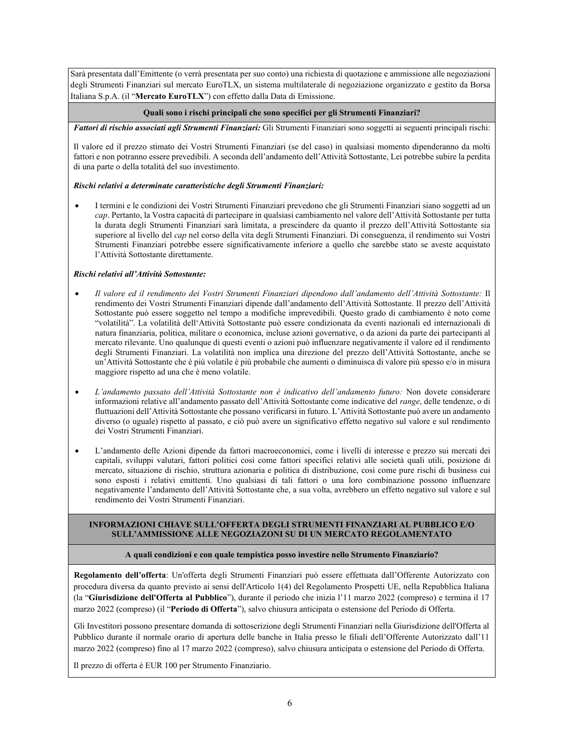Sarà presentata dall'Emittente (o verrà presentata per suo conto) una richiesta di quotazione e ammissione alle negoziazioni degli Strumenti Finanziari sul mercato EuroTLX, un sistema multilaterale di negoziazione organizzato e gestito da Borsa Italiana S.p.A. (il "**Mercato EuroTLX**") con effetto dalla Data di Emissione.

## **Quali sono i rischi principali che sono specifici per gli Strumenti Finanziari?**

*Fattori di rischio associati agli Strumenti Finanziari:* Gli Strumenti Finanziari sono soggetti ai seguenti principali rischi:

Il valore ed il prezzo stimato dei Vostri Strumenti Finanziari (se del caso) in qualsiasi momento dipenderanno da molti fattori e non potranno essere prevedibili. A seconda dell'andamento dell'Attività Sottostante, Lei potrebbe subire la perdita di una parte o della totalità del suo investimento.

## *Rischi relativi a determinate caratteristiche degli Strumenti Finanziari:*

 I termini e le condizioni dei Vostri Strumenti Finanziari prevedono che gli Strumenti Finanziari siano soggetti ad un *cap*. Pertanto, la Vostra capacità di partecipare in qualsiasi cambiamento nel valore dell'Attività Sottostante per tutta la durata degli Strumenti Finanziari sarà limitata, a prescindere da quanto il prezzo dell'Attività Sottostante sia superiore al livello del *cap* nel corso della vita degli Strumenti Finanziari. Di conseguenza, il rendimento sui Vostri Strumenti Finanziari potrebbe essere significativamente inferiore a quello che sarebbe stato se aveste acquistato l'Attività Sottostante direttamente.

## *Rischi relativi all'Attività Sottostante:*

- *Il valore ed il rendimento dei Vostri Strumenti Finanziari dipendono dall'andamento dell'Attività Sottostante:* Il rendimento dei Vostri Strumenti Finanziari dipende dall'andamento dell'Attività Sottostante. Il prezzo dell'Attività Sottostante può essere soggetto nel tempo a modifiche imprevedibili. Questo grado di cambiamento è noto come "volatilità". La volatilità dell'Attività Sottostante può essere condizionata da eventi nazionali ed internazionali di natura finanziaria, politica, militare o economica, incluse azioni governative, o da azioni da parte dei partecipanti al mercato rilevante. Uno qualunque di questi eventi o azioni può influenzare negativamente il valore ed il rendimento degli Strumenti Finanziari. La volatilità non implica una direzione del prezzo dell'Attività Sottostante, anche se un'Attività Sottostante che è più volatile è più probabile che aumenti o diminuisca di valore più spesso e/o in misura maggiore rispetto ad una che è meno volatile.
- *L'andamento passato dell'Attività Sottostante non è indicativo dell'andamento futuro:* Non dovete considerare informazioni relative all'andamento passato dell'Attività Sottostante come indicative del *range*, delle tendenze, o di fluttuazioni dell'Attività Sottostante che possano verificarsi in futuro. L'Attività Sottostante può avere un andamento diverso (o uguale) rispetto al passato, e ciò può avere un significativo effetto negativo sul valore e sul rendimento dei Vostri Strumenti Finanziari.
- L'andamento delle Azioni dipende da fattori macroeconomici, come i livelli di interesse e prezzo sui mercati dei capitali, sviluppi valutari, fattori politici così come fattori specifici relativi alle società quali utili, posizione di mercato, situazione di rischio, struttura azionaria e politica di distribuzione, così come pure rischi di business cui sono esposti i relativi emittenti. Uno qualsiasi di tali fattori o una loro combinazione possono influenzare negativamente l'andamento dell'Attività Sottostante che, a sua volta, avrebbero un effetto negativo sul valore e sul rendimento dei Vostri Strumenti Finanziari.

## **INFORMAZIONI CHIAVE SULL'OFFERTA DEGLI STRUMENTI FINANZIARI AL PUBBLICO E/O SULL'AMMISSIONE ALLE NEGOZIAZONI SU DI UN MERCATO REGOLAMENTATO**

## **A quali condizioni e con quale tempistica posso investire nello Strumento Finanziario?**

**Regolamento dell'offerta**: Un'offerta degli Strumenti Finanziari può essere effettuata dall'Offerente Autorizzato con procedura diversa da quanto previsto ai sensi dell'Articolo 1(4) del Regolamento Prospetti UE, nella Repubblica Italiana (la "**Giurisdizione dell'Offerta al Pubblico**"), durante il periodo che inizia l'11 marzo 2022 (compreso) e termina il 17 marzo 2022 (compreso) (il "**Periodo di Offerta**"), salvo chiusura anticipata o estensione del Periodo di Offerta.

Gli Investitori possono presentare domanda di sottoscrizione degli Strumenti Finanziari nella Giurisdizione dell'Offerta al Pubblico durante il normale orario di apertura delle banche in Italia presso le filiali dell'Offerente Autorizzato dall'11 marzo 2022 (compreso) fino al 17 marzo 2022 (compreso), salvo chiusura anticipata o estensione del Periodo di Offerta.

Il prezzo di offerta è EUR 100 per Strumento Finanziario.